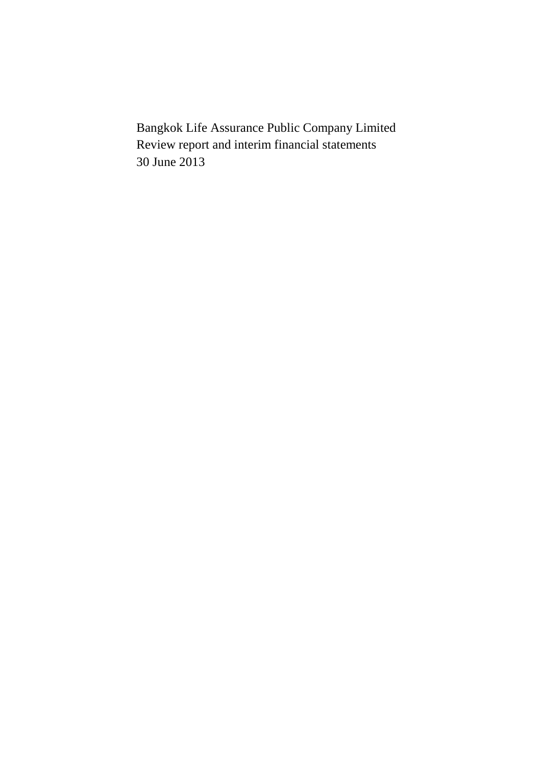Bangkok Life Assurance Public Company Limited Review report and interim financial statements 30 June 2013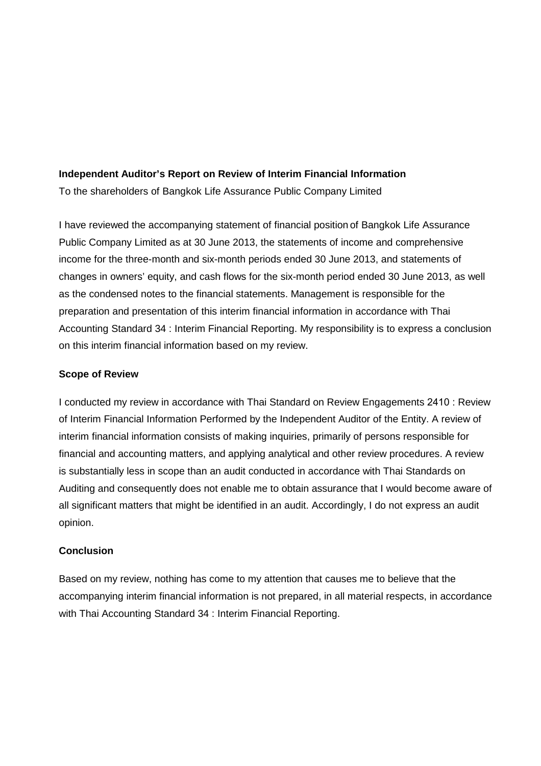### **Independent Auditor's Report on Review of Interim Financial Information**

To the shareholders of Bangkok Life Assurance Public Company Limited

I have reviewed the accompanying statement of financial position of Bangkok Life Assurance Public Company Limited as at 30 June 2013, the statements of income and comprehensive income for the three-month and six-month periods ended 30 June 2013, and statements of changes in owners' equity, and cash flows for the six-month period ended 30 June 2013, as well as the condensed notes to the financial statements. Management is responsible for the preparation and presentation of this interim financial information in accordance with Thai Accounting Standard 34 : Interim Financial Reporting. My responsibility is to express a conclusion on this interim financial information based on my review.

### **Scope of Review**

I conducted my review in accordance with Thai Standard on Review Engagements 2410 : Review of Interim Financial Information Performed by the Independent Auditor of the Entity. A review of interim financial information consists of making inquiries, primarily of persons responsible for financial and accounting matters, and applying analytical and other review procedures. A review is substantially less in scope than an audit conducted in accordance with Thai Standards on Auditing and consequently does not enable me to obtain assurance that I would become aware of all significant matters that might be identified in an audit. Accordingly, I do not express an audit opinion.

### **Conclusion**

Based on my review, nothing has come to my attention that causes me to believe that the accompanying interim financial information is not prepared, in all material respects, in accordance with Thai Accounting Standard 34 : Interim Financial Reporting.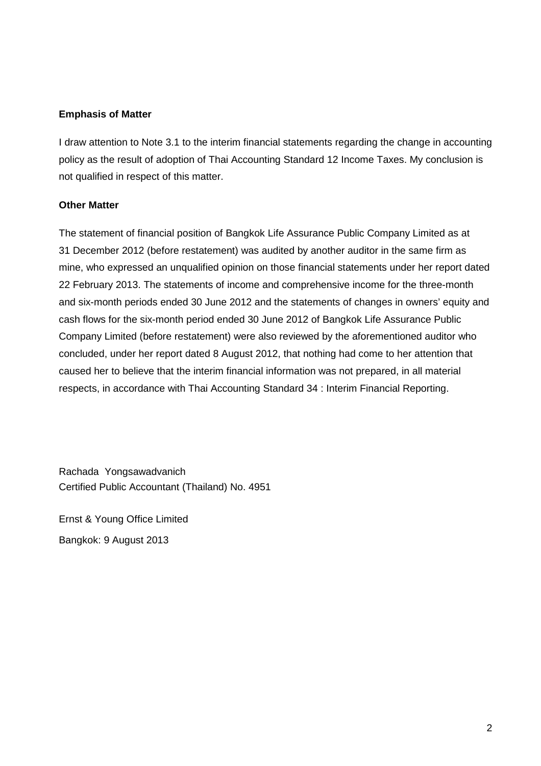## **Emphasis of Matter**

I draw attention to Note 3.1 to the interim financial statements regarding the change in accounting policy as the result of adoption of Thai Accounting Standard 12 Income Taxes. My conclusion is not qualified in respect of this matter.

## **Other Matter**

The statement of financial position of Bangkok Life Assurance Public Company Limited as at 31 December 2012 (before restatement) was audited by another auditor in the same firm as mine, who expressed an unqualified opinion on those financial statements under her report dated 22 February 2013. The statements of income and comprehensive income for the three-month and six-month periods ended 30 June 2012 and the statements of changes in owners' equity and cash flows for the six-month period ended 30 June 2012 of Bangkok Life Assurance Public Company Limited (before restatement) were also reviewed by the aforementioned auditor who concluded, under her report dated 8 August 2012, that nothing had come to her attention that caused her to believe that the interim financial information was not prepared, in all material respects, in accordance with Thai Accounting Standard 34 : Interim Financial Reporting.

Rachada Yongsawadvanich Certified Public Accountant (Thailand) No. 4951

Ernst & Young Office Limited Bangkok: 9 August 2013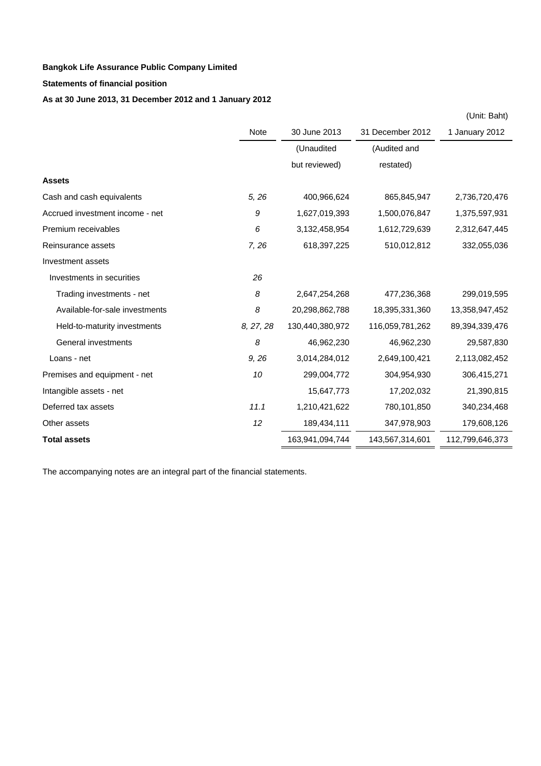### **Statements of financial position**

## **As at 30 June 2013, 31 December 2012 and 1 January 2012**

|                                 |             |                 |                  | (Unit: Baht)    |
|---------------------------------|-------------|-----------------|------------------|-----------------|
|                                 | <b>Note</b> | 30 June 2013    | 31 December 2012 | 1 January 2012  |
|                                 |             | (Unaudited      | (Audited and     |                 |
|                                 |             | but reviewed)   | restated)        |                 |
| <b>Assets</b>                   |             |                 |                  |                 |
| Cash and cash equivalents       | 5, 26       | 400,966,624     | 865,845,947      | 2,736,720,476   |
| Accrued investment income - net | 9           | 1,627,019,393   | 1,500,076,847    | 1,375,597,931   |
| Premium receivables             | 6           | 3,132,458,954   | 1,612,729,639    | 2,312,647,445   |
| Reinsurance assets              | 7,26        | 618,397,225     | 510,012,812      | 332,055,036     |
| Investment assets               |             |                 |                  |                 |
| Investments in securities       | 26          |                 |                  |                 |
| Trading investments - net       | 8           | 2,647,254,268   | 477,236,368      | 299,019,595     |
| Available-for-sale investments  | 8           | 20,298,862,788  | 18,395,331,360   | 13,358,947,452  |
| Held-to-maturity investments    | 8, 27, 28   | 130,440,380,972 | 116,059,781,262  | 89,394,339,476  |
| General investments             | 8           | 46,962,230      | 46,962,230       | 29,587,830      |
| Loans - net                     | 9, 26       | 3,014,284,012   | 2,649,100,421    | 2,113,082,452   |
| Premises and equipment - net    | 10          | 299,004,772     | 304,954,930      | 306,415,271     |
| Intangible assets - net         |             | 15,647,773      | 17,202,032       | 21,390,815      |
| Deferred tax assets             | 11.1        | 1,210,421,622   | 780,101,850      | 340,234,468     |
| Other assets                    | 12          | 189,434,111     | 347,978,903      | 179,608,126     |
| <b>Total assets</b>             |             | 163,941,094,744 | 143,567,314,601  | 112,799,646,373 |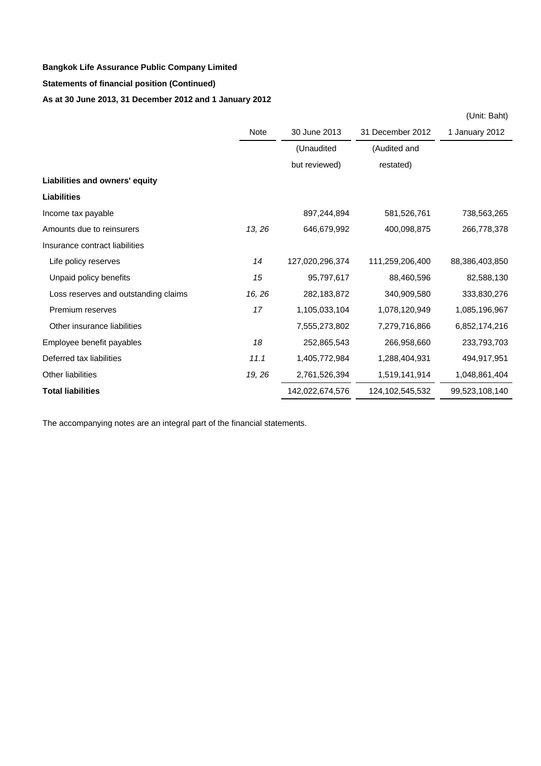# **As at 30 June 2013, 31 December 2012 and 1 January 2012 Bangkok Life Assurance Public Company Limited Statements of financial position (Continued)**

|                                      |             |                 |                  | (Unit: Baht)   |
|--------------------------------------|-------------|-----------------|------------------|----------------|
|                                      | <b>Note</b> | 30 June 2013    | 31 December 2012 | 1 January 2012 |
|                                      |             | (Unaudited      | (Audited and     |                |
|                                      |             | but reviewed)   | restated)        |                |
| Liabilities and owners' equity       |             |                 |                  |                |
| <b>Liabilities</b>                   |             |                 |                  |                |
| Income tax payable                   |             | 897,244,894     | 581,526,761      | 738,563,265    |
| Amounts due to reinsurers            | 13, 26      | 646,679,992     | 400,098,875      | 266,778,378    |
| Insurance contract liabilities       |             |                 |                  |                |
| Life policy reserves                 | 14          | 127,020,296,374 | 111,259,206,400  | 88,386,403,850 |
| Unpaid policy benefits               | 15          | 95,797,617      | 88,460,596       | 82,588,130     |
| Loss reserves and outstanding claims | 16, 26      | 282,183,872     | 340,909,580      | 333,830,276    |
| Premium reserves                     | 17          | 1,105,033,104   | 1,078,120,949    | 1,085,196,967  |
| Other insurance liabilities          |             | 7,555,273,802   | 7,279,716,866    | 6,852,174,216  |
| Employee benefit payables            | 18          | 252,865,543     | 266,958,660      | 233,793,703    |
| Deferred tax liabilities             | 11.1        | 1,405,772,984   | 1,288,404,931    | 494,917,951    |
| <b>Other liabilities</b>             | 19, 26      | 2,761,526,394   | 1,519,141,914    | 1,048,861,404  |
| <b>Total liabilities</b>             |             | 142,022,674,576 | 124,102,545,532  | 99,523,108,140 |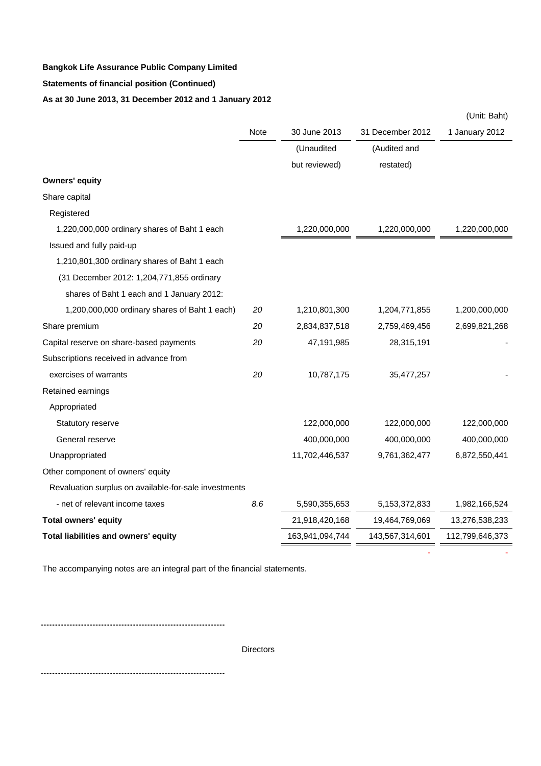## **Statements of financial position (Continued)**

### **As at 30 June 2013, 31 December 2012 and 1 January 2012**

|                                                       |      |                 |                  | (Unit: Baht)    |
|-------------------------------------------------------|------|-----------------|------------------|-----------------|
|                                                       | Note | 30 June 2013    | 31 December 2012 | 1 January 2012  |
|                                                       |      | (Unaudited      | (Audited and     |                 |
|                                                       |      | but reviewed)   | restated)        |                 |
| <b>Owners' equity</b>                                 |      |                 |                  |                 |
| Share capital                                         |      |                 |                  |                 |
| Registered                                            |      |                 |                  |                 |
| 1,220,000,000 ordinary shares of Baht 1 each          |      | 1,220,000,000   | 1,220,000,000    | 1,220,000,000   |
| Issued and fully paid-up                              |      |                 |                  |                 |
| 1,210,801,300 ordinary shares of Baht 1 each          |      |                 |                  |                 |
| (31 December 2012: 1,204,771,855 ordinary             |      |                 |                  |                 |
| shares of Baht 1 each and 1 January 2012:             |      |                 |                  |                 |
| 1,200,000,000 ordinary shares of Baht 1 each)         | 20   | 1,210,801,300   | 1,204,771,855    | 1,200,000,000   |
| Share premium                                         | 20   | 2,834,837,518   | 2,759,469,456    | 2,699,821,268   |
| Capital reserve on share-based payments               | 20   | 47,191,985      | 28,315,191       |                 |
| Subscriptions received in advance from                |      |                 |                  |                 |
| exercises of warrants                                 | 20   | 10,787,175      | 35,477,257       |                 |
| Retained earnings                                     |      |                 |                  |                 |
| Appropriated                                          |      |                 |                  |                 |
| Statutory reserve                                     |      | 122,000,000     | 122,000,000      | 122,000,000     |
| General reserve                                       |      | 400,000,000     | 400,000,000      | 400,000,000     |
| Unappropriated                                        |      | 11,702,446,537  | 9,761,362,477    | 6,872,550,441   |
| Other component of owners' equity                     |      |                 |                  |                 |
| Revaluation surplus on available-for-sale investments |      |                 |                  |                 |
| - net of relevant income taxes                        | 8.6  | 5,590,355,653   | 5, 153, 372, 833 | 1,982,166,524   |
| <b>Total owners' equity</b>                           |      | 21,918,420,168  | 19,464,769,069   | 13,276,538,233  |
| Total liabilities and owners' equity                  |      | 163,941,094,744 | 143,567,314,601  | 112,799,646,373 |
|                                                       |      |                 |                  |                 |

The accompanying notes are an integral part of the financial statements.

----------------------------------

**Directors**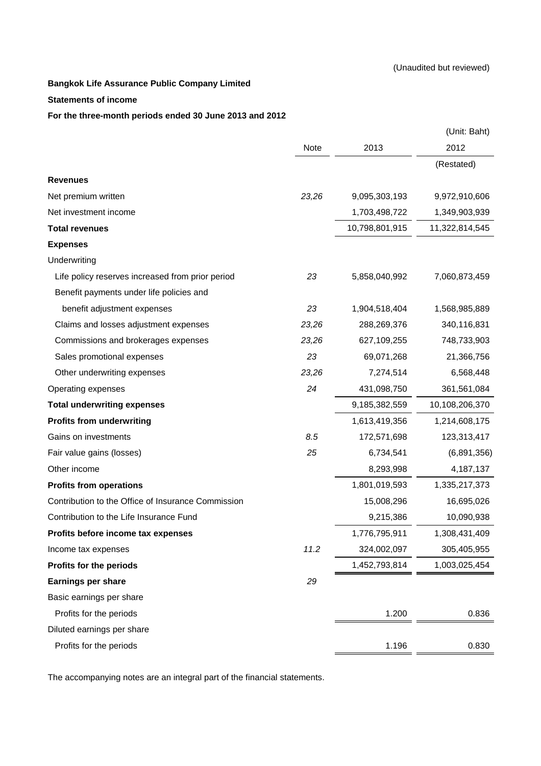#### **Statements of income**

### **For the three-month periods ended 30 June 2013 and 2012**

|                                                    |       |                | (Unit: Baht)   |
|----------------------------------------------------|-------|----------------|----------------|
|                                                    | Note  | 2013           | 2012           |
|                                                    |       |                | (Restated)     |
| <b>Revenues</b>                                    |       |                |                |
| Net premium written                                | 23,26 | 9,095,303,193  | 9,972,910,606  |
| Net investment income                              |       | 1,703,498,722  | 1,349,903,939  |
| <b>Total revenues</b>                              |       | 10,798,801,915 | 11,322,814,545 |
| <b>Expenses</b>                                    |       |                |                |
| Underwriting                                       |       |                |                |
| Life policy reserves increased from prior period   | 23    | 5,858,040,992  | 7,060,873,459  |
| Benefit payments under life policies and           |       |                |                |
| benefit adjustment expenses                        | 23    | 1,904,518,404  | 1,568,985,889  |
| Claims and losses adjustment expenses              | 23,26 | 288,269,376    | 340,116,831    |
| Commissions and brokerages expenses                | 23,26 | 627,109,255    | 748,733,903    |
| Sales promotional expenses                         | 23    | 69,071,268     | 21,366,756     |
| Other underwriting expenses                        | 23,26 | 7,274,514      | 6,568,448      |
| Operating expenses                                 | 24    | 431,098,750    | 361,561,084    |
| <b>Total underwriting expenses</b>                 |       | 9,185,382,559  | 10,108,206,370 |
| <b>Profits from underwriting</b>                   |       | 1,613,419,356  | 1,214,608,175  |
| Gains on investments                               | 8.5   | 172,571,698    | 123,313,417    |
| Fair value gains (losses)                          | 25    | 6,734,541      | (6,891,356)    |
| Other income                                       |       | 8,293,998      | 4, 187, 137    |
| <b>Profits from operations</b>                     |       | 1,801,019,593  | 1,335,217,373  |
| Contribution to the Office of Insurance Commission |       | 15,008,296     | 16,695,026     |
| Contribution to the Life Insurance Fund            |       | 9,215,386      | 10,090,938     |
| Profits before income tax expenses                 |       | 1,776,795,911  | 1,308,431,409  |
| Income tax expenses                                | 11.2  | 324,002,097    | 305,405,955    |
| Profits for the periods                            |       | 1,452,793,814  | 1,003,025,454  |
| <b>Earnings per share</b>                          | 29    |                |                |
| Basic earnings per share                           |       |                |                |
| Profits for the periods                            |       | 1.200          | 0.836          |
| Diluted earnings per share                         |       |                |                |
| Profits for the periods                            |       | 1.196          | 0.830          |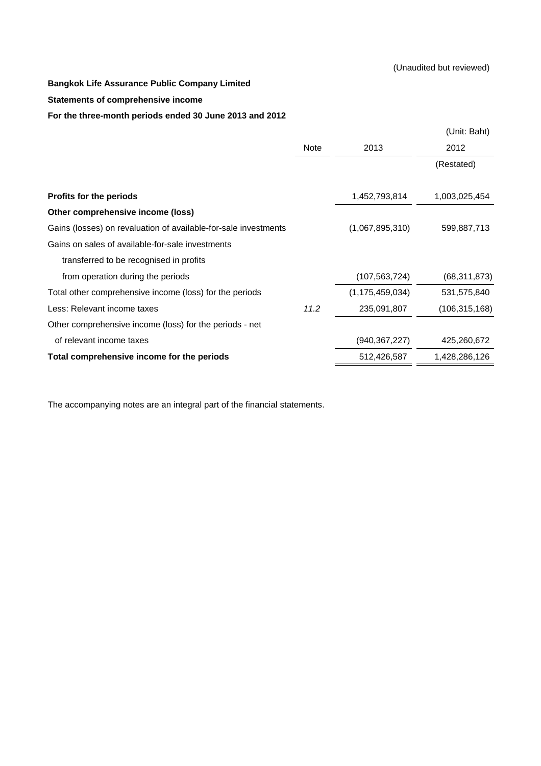#### **Statements of comprehensive income**

### **For the three-month periods ended 30 June 2013 and 2012**

|                                                                 |      |                    | (Unit: Baht)    |
|-----------------------------------------------------------------|------|--------------------|-----------------|
|                                                                 | Note | 2013               | 2012            |
|                                                                 |      |                    | (Restated)      |
|                                                                 |      |                    |                 |
| <b>Profits for the periods</b>                                  |      | 1,452,793,814      | 1,003,025,454   |
| Other comprehensive income (loss)                               |      |                    |                 |
| Gains (losses) on revaluation of available-for-sale investments |      | (1,067,895,310)    | 599,887,713     |
| Gains on sales of available-for-sale investments                |      |                    |                 |
| transferred to be recognised in profits                         |      |                    |                 |
| from operation during the periods                               |      | (107, 563, 724)    | (68, 311, 873)  |
| Total other comprehensive income (loss) for the periods         |      | (1, 175, 459, 034) | 531,575,840     |
| Less: Relevant income taxes                                     | 11.2 | 235,091,807        | (106, 315, 168) |
| Other comprehensive income (loss) for the periods - net         |      |                    |                 |
| of relevant income taxes                                        |      | (940, 367, 227)    | 425,260,672     |
| Total comprehensive income for the periods                      |      | 512,426,587        | 1,428,286,126   |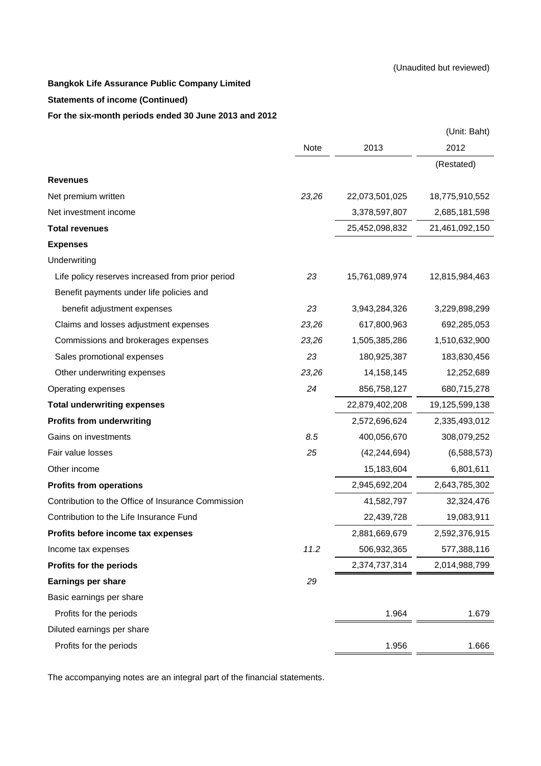### **Statements of income (Continued)**

### **For the six-month periods ended 30 June 2013 and 2012**

|                                                    |       |                | (Unit: Baht)   |
|----------------------------------------------------|-------|----------------|----------------|
|                                                    | Note  | 2013           | 2012           |
|                                                    |       |                | (Restated)     |
| <b>Revenues</b>                                    |       |                |                |
| Net premium written                                | 23,26 | 22,073,501,025 | 18,775,910,552 |
| Net investment income                              |       | 3,378,597,807  | 2,685,181,598  |
| <b>Total revenues</b>                              |       | 25,452,098,832 | 21,461,092,150 |
| <b>Expenses</b>                                    |       |                |                |
| Underwriting                                       |       |                |                |
| Life policy reserves increased from prior period   | 23    | 15,761,089,974 | 12,815,984,463 |
| Benefit payments under life policies and           |       |                |                |
| benefit adjustment expenses                        | 23    | 3,943,284,326  | 3,229,898,299  |
| Claims and losses adjustment expenses              | 23,26 | 617,800,963    | 692,285,053    |
| Commissions and brokerages expenses                | 23,26 | 1,505,385,286  | 1,510,632,900  |
| Sales promotional expenses                         | 23    | 180,925,387    | 183,830,456    |
| Other underwriting expenses                        | 23,26 | 14,158,145     | 12,252,689     |
| Operating expenses                                 | 24    | 856,758,127    | 680,715,278    |
| <b>Total underwriting expenses</b>                 |       | 22,879,402,208 | 19,125,599,138 |
| <b>Profits from underwriting</b>                   |       | 2,572,696,624  | 2,335,493,012  |
| Gains on investments                               | 8.5   | 400,056,670    | 308,079,252    |
| Fair value losses                                  | 25    | (42, 244, 694) | (6,588,573)    |
| Other income                                       |       | 15,183,604     | 6,801,611      |
| <b>Profits from operations</b>                     |       | 2,945,692,204  | 2,643,785,302  |
| Contribution to the Office of Insurance Commission |       | 41,582,797     | 32,324,476     |
| Contribution to the Life Insurance Fund            |       | 22,439,728     | 19,083,911     |
| Profits before income tax expenses                 |       | 2,881,669,679  | 2,592,376,915  |
| Income tax expenses                                | 11.2  | 506,932,365    | 577,388,116    |
| Profits for the periods                            |       | 2,374,737,314  | 2,014,988,799  |
| <b>Earnings per share</b>                          | 29    |                |                |
| Basic earnings per share                           |       |                |                |
| Profits for the periods                            |       | 1.964          | 1.679          |
| Diluted earnings per share                         |       |                |                |
| Profits for the periods                            |       | 1.956          | 1.666          |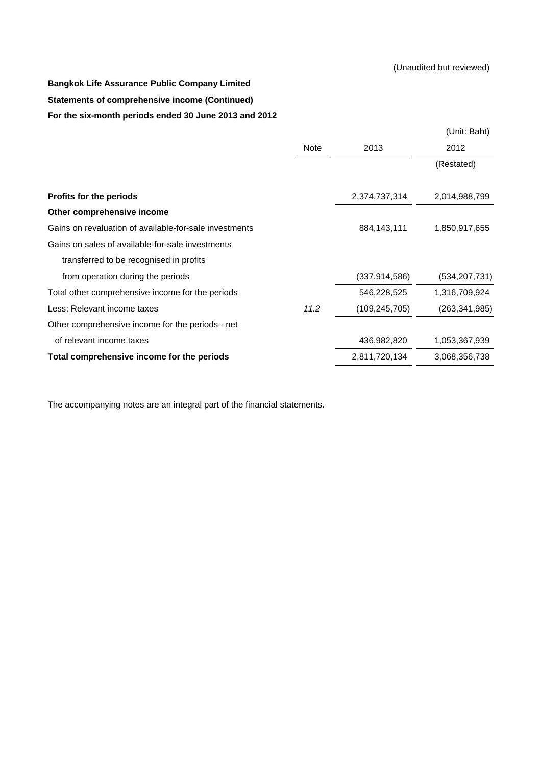# **Statements of comprehensive income (Continued) Bangkok Life Assurance Public Company Limited For the six-month periods ended 30 June 2013 and 2012**

|                                                        |      |                 | (Unit: Baht)    |
|--------------------------------------------------------|------|-----------------|-----------------|
|                                                        | Note | 2013            | 2012            |
|                                                        |      |                 | (Restated)      |
|                                                        |      |                 |                 |
| <b>Profits for the periods</b>                         |      | 2,374,737,314   | 2,014,988,799   |
| Other comprehensive income                             |      |                 |                 |
| Gains on revaluation of available-for-sale investments |      | 884,143,111     | 1,850,917,655   |
| Gains on sales of available-for-sale investments       |      |                 |                 |
| transferred to be recognised in profits                |      |                 |                 |
| from operation during the periods                      |      | (337, 914, 586) | (534, 207, 731) |
| Total other comprehensive income for the periods       |      | 546,228,525     | 1,316,709,924   |
| Less: Relevant income taxes                            | 11.2 | (109, 245, 705) | (263,341,985)   |
| Other comprehensive income for the periods - net       |      |                 |                 |
| of relevant income taxes                               |      | 436,982,820     | 1,053,367,939   |
| Total comprehensive income for the periods             |      | 2,811,720,134   | 3,068,356,738   |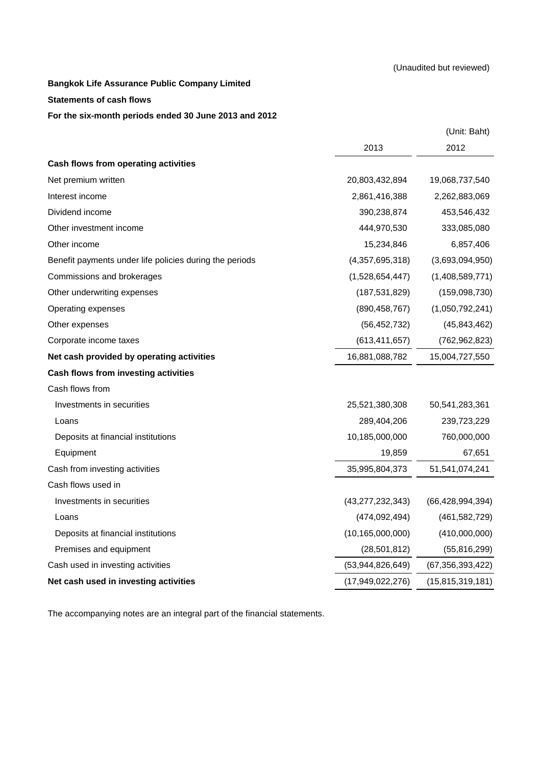#### **Statements of cash flows**

### **For the six-month periods ended 30 June 2013 and 2012**

|                                                         |                     | (Unit: Baht)        |
|---------------------------------------------------------|---------------------|---------------------|
|                                                         | 2013                | 2012                |
| Cash flows from operating activities                    |                     |                     |
| Net premium written                                     | 20,803,432,894      | 19,068,737,540      |
| Interest income                                         | 2,861,416,388       | 2,262,883,069       |
| Dividend income                                         | 390,238,874         | 453,546,432         |
| Other investment income                                 | 444,970,530         | 333,085,080         |
| Other income                                            | 15,234,846          | 6,857,406           |
| Benefit payments under life policies during the periods | (4,357,695,318)     | (3,693,094,950)     |
| Commissions and brokerages                              | (1,528,654,447)     | (1,408,589,771)     |
| Other underwriting expenses                             | (187, 531, 829)     | (159,098,730)       |
| Operating expenses                                      | (890, 458, 767)     | (1,050,792,241)     |
| Other expenses                                          | (56, 452, 732)      | (45, 843, 462)      |
| Corporate income taxes                                  | (613, 411, 657)     | (762, 962, 823)     |
| Net cash provided by operating activities               | 16,881,088,782      | 15,004,727,550      |
| Cash flows from investing activities                    |                     |                     |
| Cash flows from                                         |                     |                     |
| Investments in securities                               | 25,521,380,308      | 50,541,283,361      |
| Loans                                                   | 289,404,206         | 239,723,229         |
| Deposits at financial institutions                      | 10,185,000,000      | 760,000,000         |
| Equipment                                               | 19,859              | 67,651              |
| Cash from investing activities                          | 35,995,804,373      | 51,541,074,241      |
| Cash flows used in                                      |                     |                     |
| Investments in securities                               | (43, 277, 232, 343) | (66, 428, 994, 394) |
| Loans                                                   | (474, 092, 494)     | (461, 582, 729)     |
| Deposits at financial institutions                      | (10, 165, 000, 000) | (410,000,000)       |
| Premises and equipment                                  | (28, 501, 812)      | (55, 816, 299)      |
| Cash used in investing activities                       | (53,944,826,649)    | (67, 356, 393, 422) |
| Net cash used in investing activities                   | (17,949,022,276)    | (15,815,319,181)    |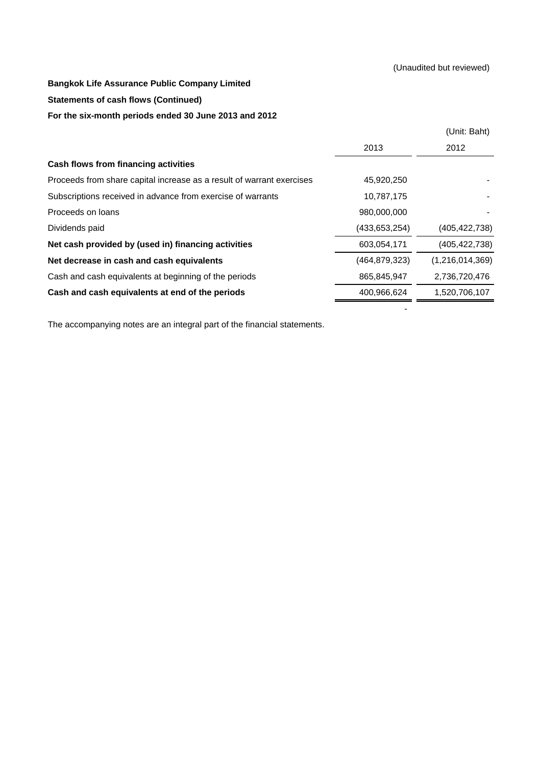### (Unaudited but reviewed)

- 1990 - 1990 - 1990 - 1990 - 1990 - 1990 - 1990 - 1990 - 1990 - 1990 - 1990 - 1990 - 1990 - 1990 - 1990 - 19<br>1991 - 1990 - 1990 - 1990 - 1990 - 1990 - 1990 - 1990 - 1990 - 1990 - 1990 - 1990 - 1990 - 1990 - 1990 - 1990

## **Bangkok Life Assurance Public Company Limited**

### **Statements of cash flows (Continued)**

### **For the six-month periods ended 30 June 2013 and 2012**

|                                                                       |                 | (Unit: Baht)    |
|-----------------------------------------------------------------------|-----------------|-----------------|
|                                                                       | 2013            | 2012            |
| Cash flows from financing activities                                  |                 |                 |
| Proceeds from share capital increase as a result of warrant exercises | 45,920,250      |                 |
| Subscriptions received in advance from exercise of warrants           | 10,787,175      |                 |
| Proceeds on loans                                                     | 980,000,000     |                 |
| Dividends paid                                                        | (433.653.254)   | (405, 422, 738) |
| Net cash provided by (used in) financing activities                   | 603,054,171     | (405, 422, 738) |
| Net decrease in cash and cash equivalents                             | (464, 879, 323) | (1,216,014,369) |
| Cash and cash equivalents at beginning of the periods                 | 865,845,947     | 2,736,720,476   |
| Cash and cash equivalents at end of the periods                       | 400,966,624     | 1,520,706,107   |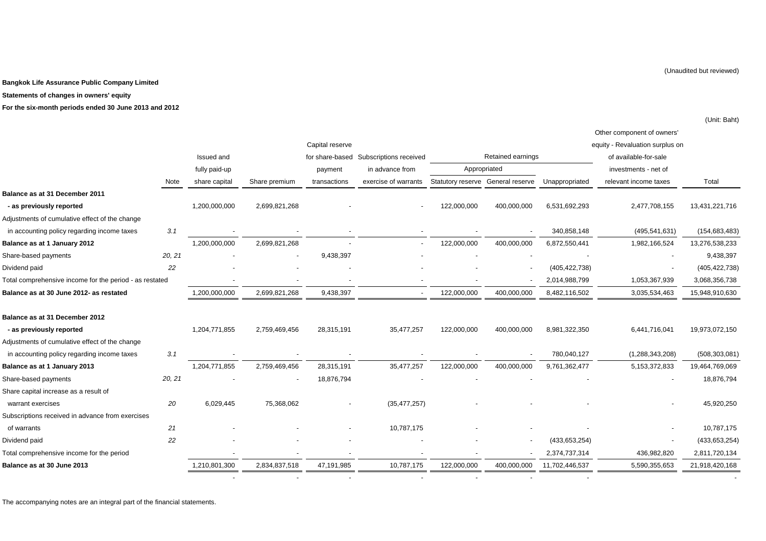**Statements of changes in owners' equity**

**For the six-month periods ended 30 June 2013 and 2012**

|                                                         |        |               |               |                 |                          |                                   |                   |                 | Other component of owners'      |                 |
|---------------------------------------------------------|--------|---------------|---------------|-----------------|--------------------------|-----------------------------------|-------------------|-----------------|---------------------------------|-----------------|
|                                                         |        |               |               | Capital reserve |                          |                                   |                   |                 | equity - Revaluation surplus on |                 |
|                                                         |        | Issued and    |               | for share-based | Subscriptions received   |                                   | Retained earnings |                 | of available-for-sale           |                 |
|                                                         |        | fully paid-up |               | payment         | in advance from          |                                   | Appropriated      |                 | investments - net of            |                 |
|                                                         | Note   | share capital | Share premium | transactions    | exercise of warrants     | Statutory reserve General reserve |                   | Unappropriated  | relevant income taxes           | Total           |
| Balance as at 31 December 2011                          |        |               |               |                 |                          |                                   |                   |                 |                                 |                 |
| - as previously reported                                |        | 1,200,000,000 | 2,699,821,268 |                 |                          | 122,000,000                       | 400,000,000       | 6,531,692,293   | 2,477,708,155                   | 13,431,221,716  |
| Adjustments of cumulative effect of the change          |        |               |               |                 |                          |                                   |                   |                 |                                 |                 |
| in accounting policy regarding income taxes             | 3.1    |               |               |                 |                          |                                   |                   | 340,858,148     | (495, 541, 631)                 | (154, 683, 483) |
| Balance as at 1 January 2012                            |        | 1,200,000,000 | 2,699,821,268 |                 | $\overline{\phantom{a}}$ | 122,000,000                       | 400,000,000       | 6,872,550,441   | 1,982,166,524                   | 13,276,538,233  |
| Share-based payments                                    | 20, 21 |               |               | 9,438,397       |                          |                                   |                   |                 |                                 | 9,438,397       |
| Dividend paid                                           | 22     |               |               |                 |                          |                                   |                   | (405, 422, 738) |                                 | (405, 422, 738) |
| Total comprehensive income for the period - as restated |        |               |               |                 |                          |                                   |                   | 2,014,988,799   | 1,053,367,939                   | 3,068,356,738   |
| Balance as at 30 June 2012- as restated                 |        | 1,200,000,000 | 2,699,821,268 | 9,438,397       | $\overline{\phantom{a}}$ | 122,000,000                       | 400,000,000       | 8,482,116,502   | 3,035,534,463                   | 15,948,910,630  |
| Balance as at 31 December 2012                          |        |               |               |                 |                          |                                   |                   |                 |                                 |                 |
| - as previously reported                                |        | 1,204,771,855 | 2,759,469,456 | 28,315,191      | 35,477,257               | 122,000,000                       | 400,000,000       | 8,981,322,350   | 6,441,716,041                   | 19,973,072,150  |
| Adjustments of cumulative effect of the change          |        |               |               |                 |                          |                                   |                   |                 |                                 |                 |
| in accounting policy regarding income taxes             | 3.1    |               |               |                 |                          |                                   |                   | 780,040,127     | (1, 288, 343, 208)              | (508, 303, 081) |
| Balance as at 1 January 2013                            |        | 1,204,771,855 | 2,759,469,456 | 28,315,191      | 35,477,257               | 122,000,000                       | 400,000,000       | 9,761,362,477   | 5, 153, 372, 833                | 19,464,769,069  |
| Share-based payments                                    | 20, 21 |               |               | 18,876,794      |                          |                                   |                   |                 |                                 | 18,876,794      |
| Share capital increase as a result of                   |        |               |               |                 |                          |                                   |                   |                 |                                 |                 |
| warrant exercises                                       | 20     | 6,029,445     | 75,368,062    |                 | (35, 477, 257)           |                                   |                   |                 |                                 | 45,920,250      |
| Subscriptions received in advance from exercises        |        |               |               |                 |                          |                                   |                   |                 |                                 |                 |
| of warrants                                             | 21     |               |               |                 | 10,787,175               |                                   |                   |                 |                                 | 10,787,175      |
| Dividend paid                                           | 22     |               |               |                 |                          |                                   |                   | (433, 653, 254) |                                 | (433, 653, 254) |
| Total comprehensive income for the period               |        |               |               |                 |                          |                                   |                   | 2,374,737,314   | 436,982,820                     | 2,811,720,134   |
| Balance as at 30 June 2013                              |        | 1,210,801,300 | 2,834,837,518 | 47,191,985      | 10,787,175               | 122,000,000                       | 400,000,000       | 11,702,446,537  | 5,590,355,653                   | 21,918,420,168  |
|                                                         |        |               |               |                 |                          |                                   |                   |                 |                                 |                 |

- - - - - - -

The accompanying notes are an integral part of the financial statements.

-

(Unit: Baht)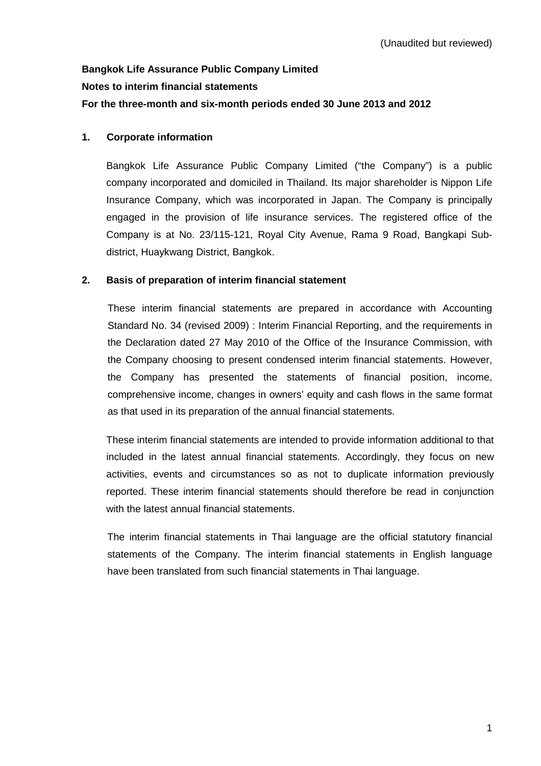# **Bangkok Life Assurance Public Company Limited Notes to interim financial statements For the three-month and six-month periods ended 30 June 2013 and 2012**

## **1. Corporate information**

Bangkok Life Assurance Public Company Limited ("the Company") is a public company incorporated and domiciled in Thailand. Its major shareholder is Nippon Life Insurance Company, which was incorporated in Japan. The Company is principally engaged in the provision of life insurance services. The registered office of the Company is at No. 23/115-121, Royal City Avenue, Rama 9 Road, Bangkapi Subdistrict, Huaykwang District, Bangkok.

### **2. Basis of preparation of interim financial statement**

These interim financial statements are prepared in accordance with Accounting Standard No. 34 (revised 2009) : Interim Financial Reporting, and the requirements in the Declaration dated 27 May 2010 of the Office of the Insurance Commission, with the Company choosing to present condensed interim financial statements. However, the Company has presented the statements of financial position, income, comprehensive income, changes in owners' equity and cash flows in the same format as that used in its preparation of the annual financial statements.

 These interim financial statements are intended to provide information additional to that included in the latest annual financial statements. Accordingly, they focus on new activities, events and circumstances so as not to duplicate information previously reported. These interim financial statements should therefore be read in conjunction with the latest annual financial statements.

 The interim financial statements in Thai language are the official statutory financial statements of the Company. The interim financial statements in English language have been translated from such financial statements in Thai language.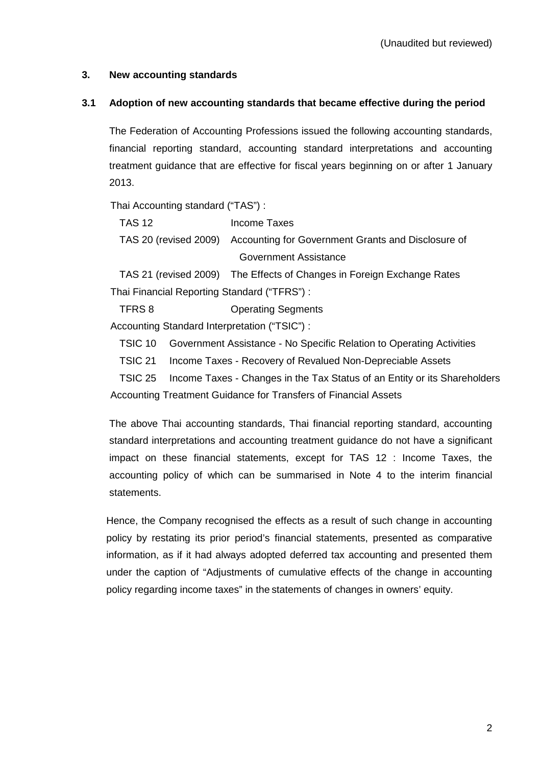## **3. New accounting standards**

## **3.1 Adoption of new accounting standards that became effective during the period**

 The Federation of Accounting Professions issued the following accounting standards, financial reporting standard, accounting standard interpretations and accounting treatment guidance that are effective for fiscal years beginning on or after 1 January 2013.

Thai Accounting standard ("TAS") :

| TAS 12                | Income Taxes                                                             |
|-----------------------|--------------------------------------------------------------------------|
|                       | TAS 20 (revised 2009) Accounting for Government Grants and Disclosure of |
|                       | Government Assistance                                                    |
| TAC 04 (roviced 2000) | The Effects of Changes in Esroian Exchange Potes                         |

TAS 21 (revised 2009) The Effects of Changes in Foreign Exchange Rates Thai Financial Reporting Standard ("TFRS") :

TFRS 8 Operating Segments

Accounting Standard Interpretation ("TSIC") :

TSIC 10 Government Assistance - No Specific Relation to Operating Activities

TSIC 21 Income Taxes - Recovery of Revalued Non-Depreciable Assets

TSIC 25 Income Taxes - Changes in the Tax Status of an Entity or its Shareholders Accounting Treatment Guidance for Transfers of Financial Assets

 The above Thai accounting standards, Thai financial reporting standard, accounting standard interpretations and accounting treatment guidance do not have a significant impact on these financial statements, except for TAS 12 : Income Taxes, the accounting policy of which can be summarised in Note 4 to the interim financial statements.

Hence, the Company recognised the effects as a result of such change in accounting policy by restating its prior period's financial statements, presented as comparative information, as if it had always adopted deferred tax accounting and presented them under the caption of "Adjustments of cumulative effects of the change in accounting policy regarding income taxes" in the statements of changes in owners' equity.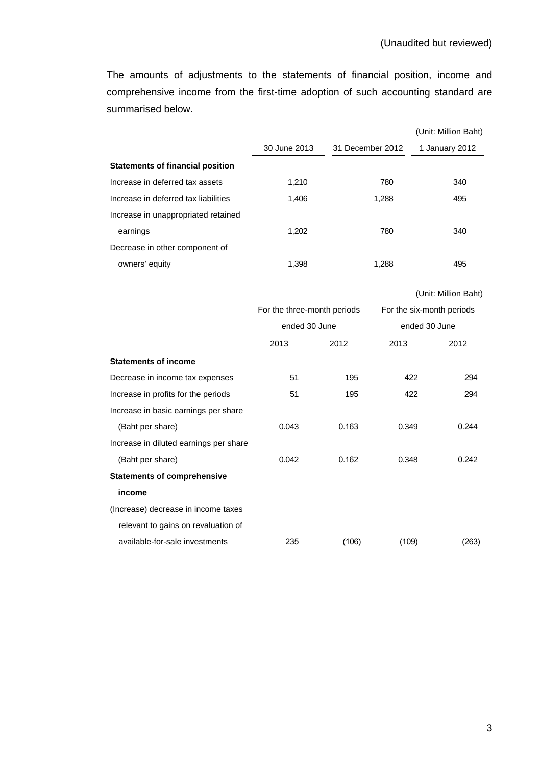The amounts of adjustments to the statements of financial position, income and comprehensive income from the first-time adoption of such accounting standard are summarised below.

|                                         |              |                  | (Unit: Million Baht) |
|-----------------------------------------|--------------|------------------|----------------------|
|                                         | 30 June 2013 | 31 December 2012 | 1 January 2012       |
| <b>Statements of financial position</b> |              |                  |                      |
| Increase in deferred tax assets         | 1.210        | 780              | 340                  |
| Increase in deferred tax liabilities    | 1.406        | 1.288            | 495                  |
| Increase in unappropriated retained     |              |                  |                      |
| earnings                                | 1,202        | 780              | 340                  |
| Decrease in other component of          |              |                  |                      |
| owners' equity                          | 1.398        | 1.288            | 495                  |

(Unit: Million Baht)

|                                        | For the three-month periods<br>ended 30 June |       | For the six-month periods<br>ended 30 June |       |
|----------------------------------------|----------------------------------------------|-------|--------------------------------------------|-------|
|                                        |                                              |       |                                            |       |
|                                        | 2013                                         | 2012  | 2013                                       | 2012  |
| <b>Statements of income</b>            |                                              |       |                                            |       |
| Decrease in income tax expenses        | 51                                           | 195   | 422                                        | 294   |
| Increase in profits for the periods    | 51                                           | 195   | 422                                        | 294   |
| Increase in basic earnings per share   |                                              |       |                                            |       |
| (Baht per share)                       | 0.043                                        | 0.163 | 0.349                                      | 0.244 |
| Increase in diluted earnings per share |                                              |       |                                            |       |
| (Baht per share)                       | 0.042                                        | 0.162 | 0.348                                      | 0.242 |
| <b>Statements of comprehensive</b>     |                                              |       |                                            |       |
| income                                 |                                              |       |                                            |       |
| (Increase) decrease in income taxes    |                                              |       |                                            |       |
| relevant to gains on revaluation of    |                                              |       |                                            |       |
| available-for-sale investments         | 235                                          | (106) | (109)                                      | (263) |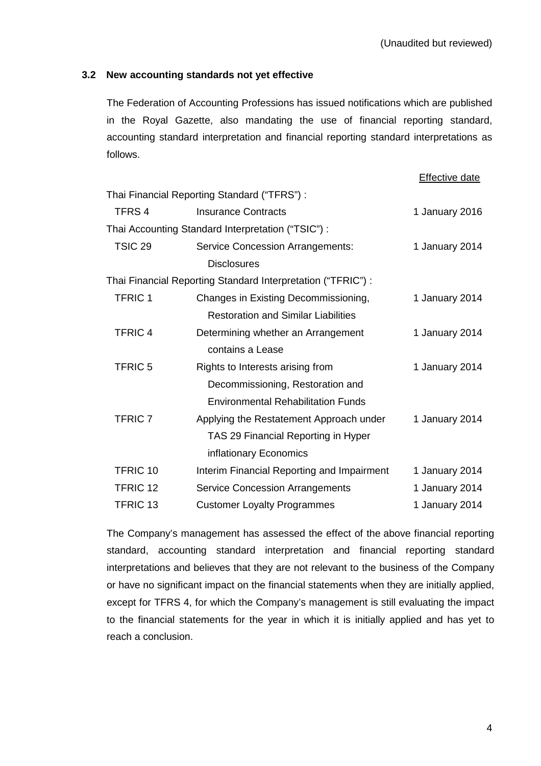## **3.2 New accounting standards not yet effective**

The Federation of Accounting Professions has issued notifications which are published in the Royal Gazette, also mandating the use of financial reporting standard, accounting standard interpretation and financial reporting standard interpretations as follows.

|                    |                                                              | <b>Effective date</b> |
|--------------------|--------------------------------------------------------------|-----------------------|
|                    | Thai Financial Reporting Standard ("TFRS") :                 |                       |
| TFRS 4             | <b>Insurance Contracts</b>                                   | 1 January 2016        |
|                    | Thai Accounting Standard Interpretation ("TSIC") :           |                       |
| TSIC <sub>29</sub> | <b>Service Concession Arrangements:</b>                      | 1 January 2014        |
|                    | <b>Disclosures</b>                                           |                       |
|                    | Thai Financial Reporting Standard Interpretation ("TFRIC") : |                       |
| <b>TFRIC1</b>      | Changes in Existing Decommissioning,                         | 1 January 2014        |
|                    | <b>Restoration and Similar Liabilities</b>                   |                       |
| <b>TFRIC4</b>      | Determining whether an Arrangement                           | 1 January 2014        |
|                    | contains a Lease                                             |                       |
| <b>TFRIC 5</b>     | Rights to Interests arising from                             | 1 January 2014        |
|                    | Decommissioning, Restoration and                             |                       |
|                    | <b>Environmental Rehabilitation Funds</b>                    |                       |
| <b>TFRIC 7</b>     | Applying the Restatement Approach under                      | 1 January 2014        |
|                    | TAS 29 Financial Reporting in Hyper                          |                       |
|                    | inflationary Economics                                       |                       |
| TFRIC 10           | Interim Financial Reporting and Impairment                   | 1 January 2014        |
| TFRIC 12           | <b>Service Concession Arrangements</b>                       | 1 January 2014        |
| <b>TFRIC 13</b>    | <b>Customer Loyalty Programmes</b>                           | 1 January 2014        |

The Company's management has assessed the effect of the above financial reporting standard, accounting standard interpretation and financial reporting standard interpretations and believes that they are not relevant to the business of the Company or have no significant impact on the financial statements when they are initially applied, except for TFRS 4, for which the Company's management is still evaluating the impact to the financial statements for the year in which it is initially applied and has yet to reach a conclusion.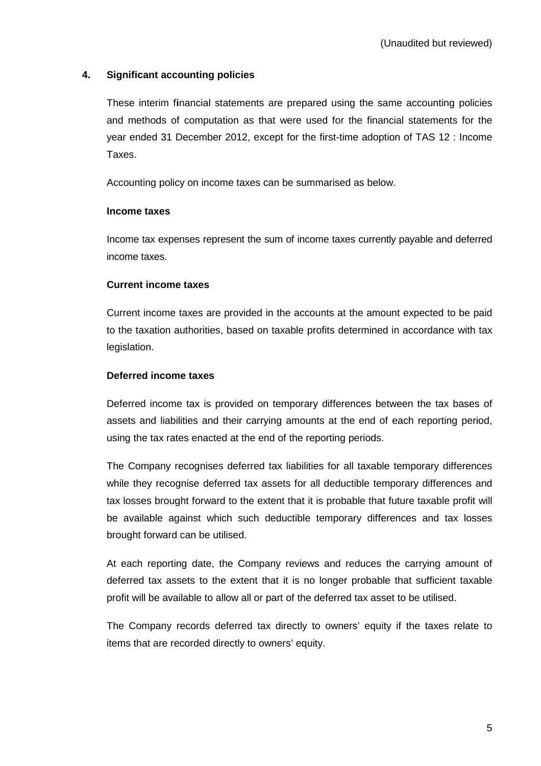## **4. Significant accounting policies**

These interim f**i**nancial statements are prepared using the same accounting policies and methods of computation as that were used for the financial statements for the year ended 31 December 2012, except for the first-time adoption of TAS 12 : Income Taxes.

Accounting policy on income taxes can be summarised as below.

### **Income taxes**

Income tax expenses represent the sum of income taxes currently payable and deferred income taxes.

## **Current income taxes**

Current income taxes are provided in the accounts at the amount expected to be paid to the taxation authorities, based on taxable profits determined in accordance with tax legislation.

## **Deferred income taxes**

Deferred income tax is provided on temporary differences between the tax bases of assets and liabilities and their carrying amounts at the end of each reporting period, using the tax rates enacted at the end of the reporting periods.

The Company recognises deferred tax liabilities for all taxable temporary differences while they recognise deferred tax assets for all deductible temporary differences and tax losses brought forward to the extent that it is probable that future taxable profit will be available against which such deductible temporary differences and tax losses brought forward can be utilised.

At each reporting date, the Company reviews and reduces the carrying amount of deferred tax assets to the extent that it is no longer probable that sufficient taxable profit will be available to allow all or part of the deferred tax asset to be utilised.

The Company records deferred tax directly to owners' equity if the taxes relate to items that are recorded directly to owners' equity.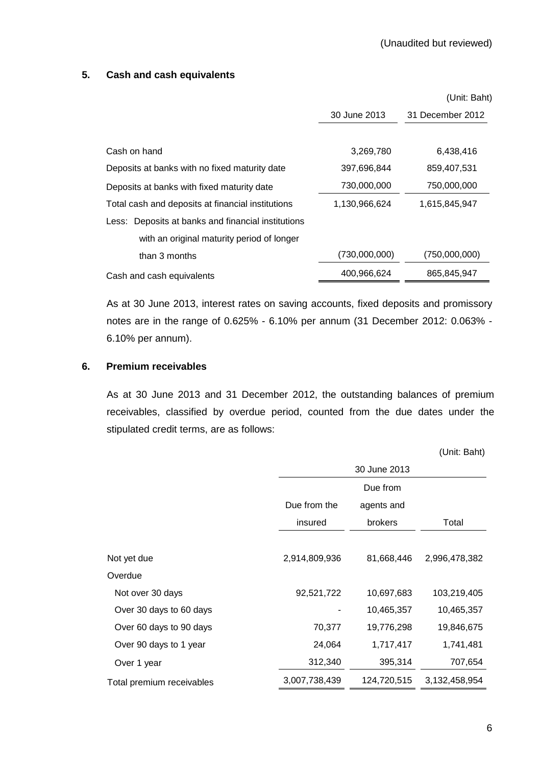### **5. Cash and cash equivalents**

|                                                    |               | (Unit: Baht)     |
|----------------------------------------------------|---------------|------------------|
|                                                    | 30 June 2013  | 31 December 2012 |
|                                                    |               |                  |
| Cash on hand                                       | 3,269,780     | 6,438,416        |
| Deposits at banks with no fixed maturity date      | 397,696,844   | 859,407,531      |
| Deposits at banks with fixed maturity date         | 730,000,000   | 750,000,000      |
| Total cash and deposits at financial institutions  | 1,130,966,624 | 1,615,845,947    |
| Less: Deposits at banks and financial institutions |               |                  |
| with an original maturity period of longer         |               |                  |
| than 3 months                                      | (730,000,000) | (750,000,000)    |
| Cash and cash equivalents                          | 400,966,624   | 865,845,947      |

 As at 30 June 2013, interest rates on saving accounts, fixed deposits and promissory notes are in the range of 0.625% - 6.10% per annum (31 December 2012: 0.063% - 6.10% per annum).

## **6. Premium receivables**

 As at 30 June 2013 and 31 December 2012, the outstanding balances of premium receivables, classified by overdue period, counted from the due dates under the stipulated credit terms, are as follows:

(Unit: Baht)

|                           | 30 June 2013  |                |               |  |
|---------------------------|---------------|----------------|---------------|--|
|                           | Due from      |                |               |  |
|                           | Due from the  | agents and     |               |  |
|                           | insured       | <b>brokers</b> | Total         |  |
|                           |               |                |               |  |
| Not yet due               | 2,914,809,936 | 81,668,446     | 2,996,478,382 |  |
| Overdue                   |               |                |               |  |
| Not over 30 days          | 92,521,722    | 10,697,683     | 103,219,405   |  |
| Over 30 days to 60 days   |               | 10,465,357     | 10,465,357    |  |
| Over 60 days to 90 days   | 70,377        | 19,776,298     | 19,846,675    |  |
| Over 90 days to 1 year    | 24,064        | 1,717,417      | 1,741,481     |  |
| Over 1 year               | 312,340       | 395,314        | 707,654       |  |
| Total premium receivables | 3,007,738,439 | 124,720,515    | 3,132,458,954 |  |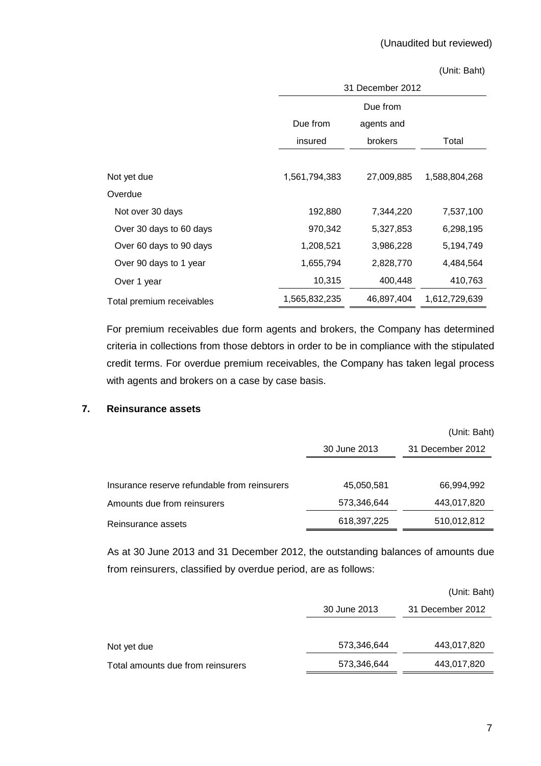#### (Unit: Baht)

|                           | 31 December 2012 |                |               |  |  |
|---------------------------|------------------|----------------|---------------|--|--|
|                           | Due from         |                |               |  |  |
|                           | Due from         | agents and     |               |  |  |
|                           | insured          | <b>brokers</b> | Total         |  |  |
|                           |                  |                |               |  |  |
| Not yet due               | 1,561,794,383    | 27,009,885     | 1,588,804,268 |  |  |
| Overdue                   |                  |                |               |  |  |
| Not over 30 days          | 192,880          | 7,344,220      | 7,537,100     |  |  |
| Over 30 days to 60 days   | 970,342          | 5,327,853      | 6,298,195     |  |  |
| Over 60 days to 90 days   | 1,208,521        | 3,986,228      | 5,194,749     |  |  |
| Over 90 days to 1 year    | 1,655,794        | 2,828,770      | 4,484,564     |  |  |
| Over 1 year               | 10,315           | 400,448        | 410,763       |  |  |
| Total premium receivables | 1,565,832,235    | 46,897,404     | 1,612,729,639 |  |  |

 For premium receivables due form agents and brokers, the Company has determined criteria in collections from those debtors in order to be in compliance with the stipulated credit terms. For overdue premium receivables, the Company has taken legal process with agents and brokers on a case by case basis.

## **7. Reinsurance assets**

|                                              |              | (Unit: Baht)     |
|----------------------------------------------|--------------|------------------|
|                                              | 30 June 2013 | 31 December 2012 |
| Insurance reserve refundable from reinsurers | 45,050,581   | 66,994,992       |
| Amounts due from reinsurers                  | 573,346,644  | 443,017,820      |
| Reinsurance assets                           | 618,397,225  | 510,012,812      |

As at 30 June 2013 and 31 December 2012, the outstanding balances of amounts due from reinsurers, classified by overdue period, are as follows:

|                                   |              | (Unit: Baht)     |
|-----------------------------------|--------------|------------------|
|                                   | 30 June 2013 | 31 December 2012 |
| Not yet due                       | 573,346,644  | 443,017,820      |
| Total amounts due from reinsurers | 573,346,644  | 443,017,820      |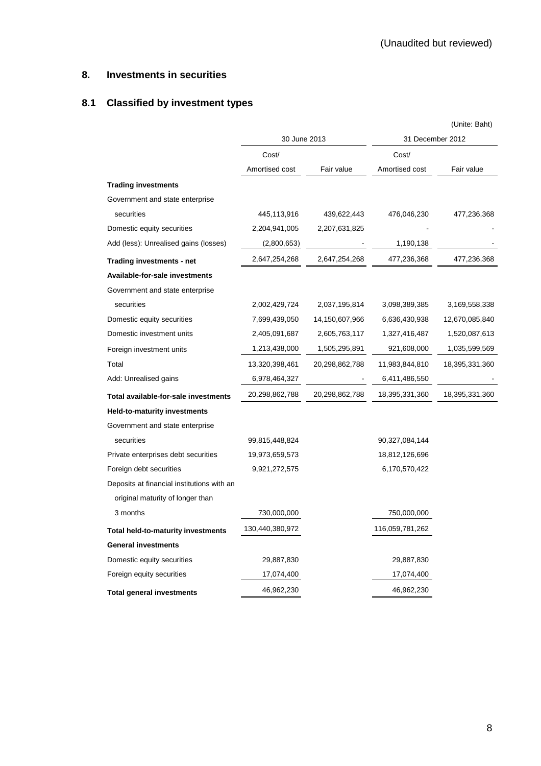## **8. Investments in securities**

# **8.1 Classified by investment types**

|                                            |                 |                |                  | (Unite: Baht)  |
|--------------------------------------------|-----------------|----------------|------------------|----------------|
|                                            | 30 June 2013    |                | 31 December 2012 |                |
|                                            | Cost/           |                | Cost/            |                |
|                                            | Amortised cost  | Fair value     | Amortised cost   | Fair value     |
| <b>Trading investments</b>                 |                 |                |                  |                |
| Government and state enterprise            |                 |                |                  |                |
| securities                                 | 445,113,916     | 439,622,443    | 476,046,230      | 477,236,368    |
| Domestic equity securities                 | 2,204,941,005   | 2,207,631,825  |                  |                |
| Add (less): Unrealised gains (losses)      | (2,800,653)     |                | 1,190,138        |                |
| Trading investments - net                  | 2,647,254,268   | 2,647,254,268  | 477,236,368      | 477,236,368    |
| Available-for-sale investments             |                 |                |                  |                |
| Government and state enterprise            |                 |                |                  |                |
| securities                                 | 2,002,429,724   | 2,037,195,814  | 3,098,389,385    | 3,169,558,338  |
| Domestic equity securities                 | 7,699,439,050   | 14,150,607,966 | 6,636,430,938    | 12,670,085,840 |
| Domestic investment units                  | 2,405,091,687   | 2,605,763,117  | 1,327,416,487    | 1,520,087,613  |
| Foreign investment units                   | 1,213,438,000   | 1,505,295,891  | 921,608,000      | 1,035,599,569  |
| Total                                      | 13,320,398,461  | 20,298,862,788 | 11,983,844,810   | 18,395,331,360 |
| Add: Unrealised gains                      | 6,978,464,327   |                | 6,411,486,550    |                |
| Total available-for-sale investments       | 20,298,862,788  | 20,298,862,788 | 18,395,331,360   | 18,395,331,360 |
| <b>Held-to-maturity investments</b>        |                 |                |                  |                |
| Government and state enterprise            |                 |                |                  |                |
| securities                                 | 99,815,448,824  |                | 90,327,084,144   |                |
| Private enterprises debt securities        | 19,973,659,573  |                | 18,812,126,696   |                |
| Foreign debt securities                    | 9,921,272,575   |                | 6,170,570,422    |                |
| Deposits at financial institutions with an |                 |                |                  |                |
| original maturity of longer than           |                 |                |                  |                |
| 3 months                                   | 730,000,000     |                | 750,000,000      |                |
| <b>Total held-to-maturity investments</b>  | 130,440,380,972 |                | 116,059,781,262  |                |
| <b>General investments</b>                 |                 |                |                  |                |
| Domestic equity securities                 | 29,887,830      |                | 29,887,830       |                |
| Foreign equity securities                  | 17,074,400      |                | 17,074,400       |                |
| <b>Total general investments</b>           | 46,962,230      |                | 46,962,230       |                |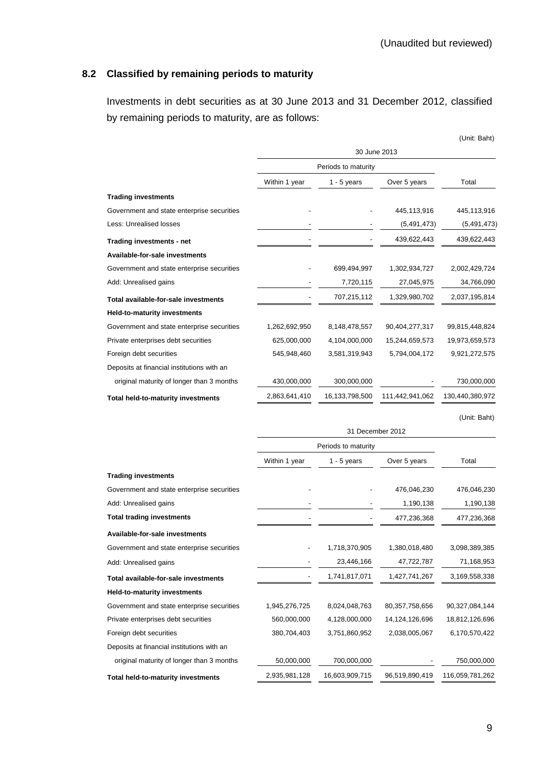## **8.2 Classified by remaining periods to maturity**

Investments in debt securities as at 30 June 2013 and 31 December 2012, classified by remaining periods to maturity, are as follows:

|                                            |                     |                     |                 | (Unit: Baht)    |
|--------------------------------------------|---------------------|---------------------|-----------------|-----------------|
|                                            |                     | 30 June 2013        |                 |                 |
|                                            |                     | Periods to maturity |                 |                 |
|                                            | Within 1 year       | $1 - 5$ years       | Over 5 years    | Total           |
| <b>Trading investments</b>                 |                     |                     |                 |                 |
| Government and state enterprise securities |                     |                     | 445,113,916     | 445,113,916     |
| Less: Unrealised losses                    |                     |                     | (5,491,473)     | (5, 491, 473)   |
| Trading investments - net                  |                     |                     | 439,622,443     | 439,622,443     |
| Available-for-sale investments             |                     |                     |                 |                 |
| Government and state enterprise securities |                     | 699,494,997         | 1,302,934,727   | 2,002,429,724   |
| Add: Unrealised gains                      |                     | 7,720,115           | 27,045,975      | 34,766,090      |
| Total available-for-sale investments       |                     | 707,215,112         | 1,329,980,702   | 2,037,195,814   |
| Held-to-maturity investments               |                     |                     |                 |                 |
| Government and state enterprise securities | 1,262,692,950       | 8,148,478,557       | 90,404,277,317  | 99,815,448,824  |
| Private enterprises debt securities        | 625,000,000         | 4,104,000,000       | 15,244,659,573  | 19,973,659,573  |
| Foreign debt securities                    | 545,948,460         | 3,581,319,943       | 5,794,004,172   | 9,921,272,575   |
| Deposits at financial institutions with an |                     |                     |                 |                 |
| original maturity of longer than 3 months  | 430,000,000         | 300,000,000         |                 | 730,000,000     |
| <b>Total held-to-maturity investments</b>  | 2,863,641,410       | 16,133,798,500      | 111,442,941,062 | 130,440,380,972 |
|                                            |                     |                     |                 | (Unit: Baht)    |
|                                            |                     | 31 December 2012    |                 |                 |
|                                            | Periods to maturity |                     |                 |                 |
|                                            | Within 1 year       | $1 - 5$ years       | Over 5 years    | Total           |
| <b>Trading investments</b>                 |                     |                     |                 |                 |
| Government and state enterprise securities |                     |                     | 476,046,230     | 476,046,230     |

| Government and state enterprise securities |               |                | 476,046,230    | 476,046,230     |
|--------------------------------------------|---------------|----------------|----------------|-----------------|
| Add: Unrealised gains                      |               |                | 1,190,138      | 1,190,138       |
| <b>Total trading investments</b>           |               |                | 477,236,368    | 477,236,368     |
| Available-for-sale investments             |               |                |                |                 |
| Government and state enterprise securities |               | 1,718,370,905  | 1,380,018,480  | 3,098,389,385   |
| Add: Unrealised gains                      |               | 23,446,166     | 47,722,787     | 71,168,953      |
| Total available-for-sale investments       |               | 1,741,817,071  | 1,427,741,267  | 3,169,558,338   |
| <b>Held-to-maturity investments</b>        |               |                |                |                 |
| Government and state enterprise securities | 1,945,276,725 | 8,024,048,763  | 80,357,758,656 | 90,327,084,144  |
| Private enterprises debt securities        | 560,000,000   | 4,128,000,000  | 14,124,126,696 | 18,812,126,696  |
| Foreign debt securities                    | 380,704,403   | 3,751,860,952  | 2,038,005,067  | 6,170,570,422   |
| Deposits at financial institutions with an |               |                |                |                 |
| original maturity of longer than 3 months  | 50,000,000    | 700,000,000    |                | 750,000,000     |
| <b>Total held-to-maturity investments</b>  | 2,935,981,128 | 16,603,909,715 | 96,519,890,419 | 116,059,781,262 |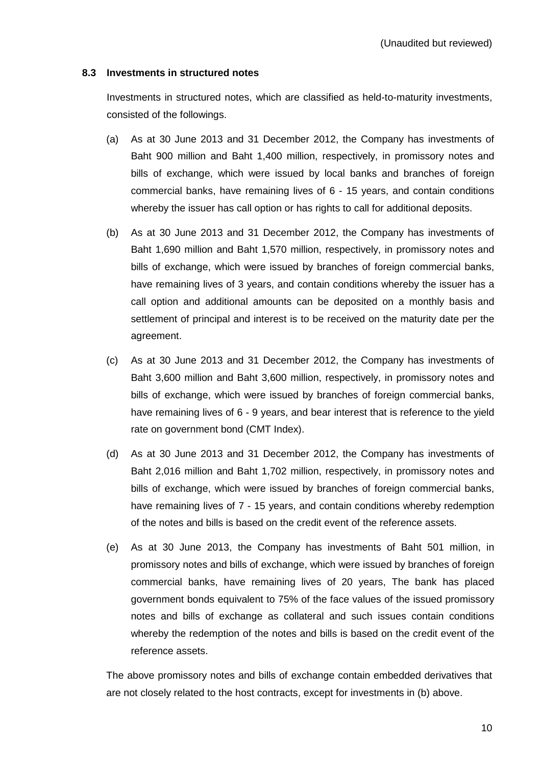### **8.3 Investments in structured notes**

 Investments in structured notes, which are classified as held-to-maturity investments, consisted of the followings.

- (a) As at 30 June 2013 and 31 December 2012, the Company has investments of Baht 900 million and Baht 1,400 million, respectively, in promissory notes and bills of exchange, which were issued by local banks and branches of foreign commercial banks, have remaining lives of 6 - 15 years, and contain conditions whereby the issuer has call option or has rights to call for additional deposits.
- (b) As at 30 June 2013 and 31 December 2012, the Company has investments of Baht 1,690 million and Baht 1,570 million, respectively, in promissory notes and bills of exchange, which were issued by branches of foreign commercial banks, have remaining lives of 3 years, and contain conditions whereby the issuer has a call option and additional amounts can be deposited on a monthly basis and settlement of principal and interest is to be received on the maturity date per the agreement.
- (c) As at 30 June 2013 and 31 December 2012, the Company has investments of Baht 3,600 million and Baht 3,600 million, respectively, in promissory notes and bills of exchange, which were issued by branches of foreign commercial banks, have remaining lives of 6 - 9 years, and bear interest that is reference to the yield rate on government bond (CMT Index).
- (d) As at 30 June 2013 and 31 December 2012, the Company has investments of Baht 2,016 million and Baht 1,702 million, respectively, in promissory notes and bills of exchange, which were issued by branches of foreign commercial banks, have remaining lives of 7 - 15 years, and contain conditions whereby redemption of the notes and bills is based on the credit event of the reference assets.
- (e) As at 30 June 2013, the Company has investments of Baht 501 million, in promissory notes and bills of exchange, which were issued by branches of foreign commercial banks, have remaining lives of 20 years, The bank has placed government bonds equivalent to 75% of the face values of the issued promissory notes and bills of exchange as collateral and such issues contain conditions whereby the redemption of the notes and bills is based on the credit event of the reference assets.

The above promissory notes and bills of exchange contain embedded derivatives that are not closely related to the host contracts, except for investments in (b) above.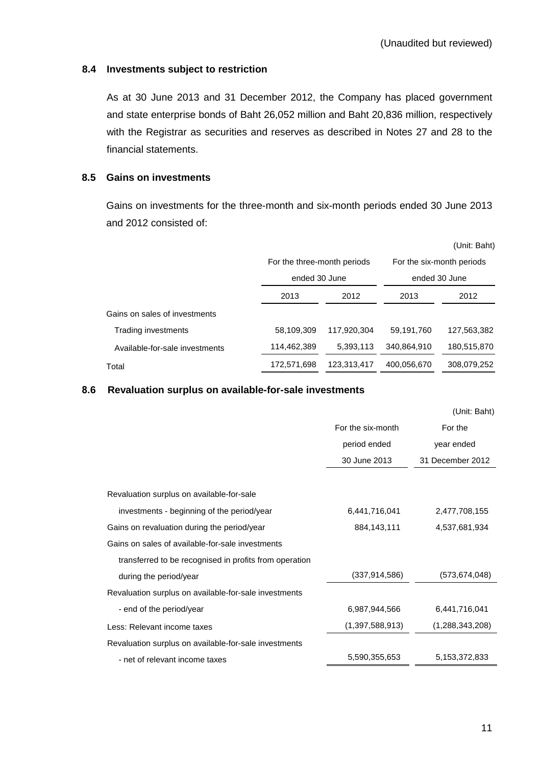### **8.4 Investments subject to restriction**

As at 30 June 2013 and 31 December 2012, the Company has placed government and state enterprise bonds of Baht 26,052 million and Baht 20,836 million, respectively with the Registrar as securities and reserves as described in Notes 27 and 28 to the financial statements.

### **8.5 Gains on investments**

Gains on investments for the three-month and six-month periods ended 30 June 2013 and 2012 consisted of:

|                                |                             |             |               | (Unit: Baht)              |  |
|--------------------------------|-----------------------------|-------------|---------------|---------------------------|--|
|                                | For the three-month periods |             |               | For the six-month periods |  |
|                                | ended 30 June               |             | ended 30 June |                           |  |
|                                | 2013<br>2012                |             | 2013          | 2012                      |  |
| Gains on sales of investments  |                             |             |               |                           |  |
| Trading investments            | 58.109.309                  | 117.920.304 | 59.191.760    | 127.563.382               |  |
| Available-for-sale investments | 114,462,389                 | 5,393,113   | 340,864,910   | 180,515,870               |  |
| Total                          | 172,571,698                 | 123,313,417 | 400,056,670   | 308,079,252               |  |

### **8.6 Revaluation surplus on available-for-sale investments**

|                                                        |                   | (Unit: Baht)     |
|--------------------------------------------------------|-------------------|------------------|
|                                                        | For the six-month | For the          |
|                                                        | period ended      | year ended       |
|                                                        | 30 June 2013      | 31 December 2012 |
|                                                        |                   |                  |
| Revaluation surplus on available-for-sale              |                   |                  |
| investments - beginning of the period/year             | 6,441,716,041     | 2,477,708,155    |
| Gains on revaluation during the period/year            | 884,143,111       | 4,537,681,934    |
| Gains on sales of available-for-sale investments       |                   |                  |
| transferred to be recognised in profits from operation |                   |                  |
| during the period/year                                 | (337, 914, 586)   | (573,674,048)    |
| Revaluation surplus on available-for-sale investments  |                   |                  |
| - end of the period/year                               | 6,987,944,566     | 6,441,716,041    |
| Less: Relevant income taxes                            | (1,397,588,913)   | (1,288,343,208)  |
| Revaluation surplus on available-for-sale investments  |                   |                  |
| - net of relevant income taxes                         | 5,590,355,653     | 5,153,372,833    |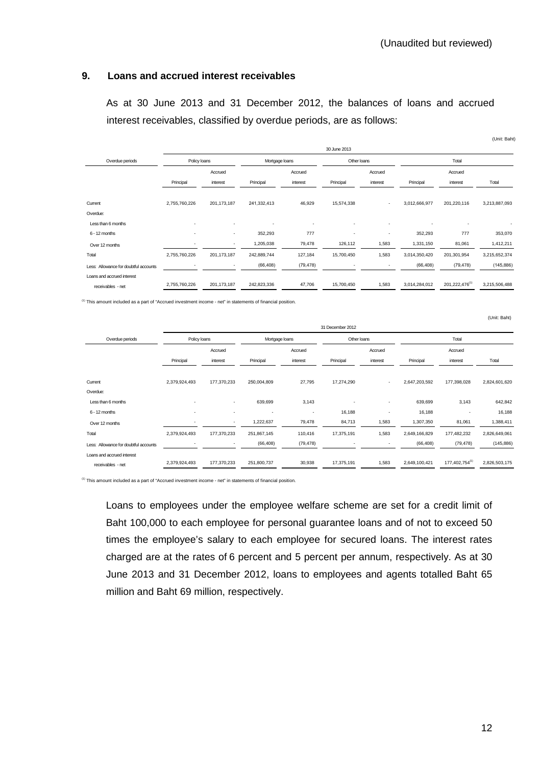### **9. Loans and accrued interest receivables**

 As at 30 June 2013 and 31 December 2012, the balances of loans and accrued interest receivables, classified by overdue periods, are as follows:

|                                       |                |                          |                |           |                |                          |               |                            | (Unit: Baht)  |
|---------------------------------------|----------------|--------------------------|----------------|-----------|----------------|--------------------------|---------------|----------------------------|---------------|
|                                       |                |                          |                |           | 30 June 2013   |                          |               |                            |               |
| Overdue periods                       | Policy loans   |                          | Mortgage loans |           | Other loans    |                          | Total         |                            |               |
|                                       |                | Accrued                  |                | Accrued   |                | Accrued                  |               | Accrued                    |               |
|                                       | Principal      | interest                 | Principal      | interest  | Principal      | interest                 | Principal     | interest                   | Total         |
|                                       |                |                          |                |           |                |                          |               |                            |               |
| Current                               | 2,755,760,226  | 201, 173, 187            | 241,332,413    | 46,929    | 15,574,338     | $\sim$                   | 3,012,666,977 | 201,220,116                | 3,213,887,093 |
| Overdue:                              |                |                          |                |           |                |                          |               |                            |               |
| Less than 6 months                    | ٠              | $\overline{\phantom{a}}$ | ٠              | ٠         |                | $\overline{\phantom{a}}$ |               | ٠                          |               |
| 6 - 12 months                         | $\blacksquare$ | ٠                        | 352,293        | 777       | $\blacksquare$ | $\overline{\phantom{a}}$ | 352,293       | 777                        | 353,070       |
| Over 12 months                        | ٠              | ٠                        | 1,205,038      | 79,478    | 126,112        | 1,583                    | 1,331,150     | 81,061                     | 1,412,211     |
| Total                                 | 2,755,760,226  | 201, 173, 187            | 242,889,744    | 127,184   | 15,700,450     | 1,583                    | 3,014,350,420 | 201,301,954                | 3,215,652,374 |
| Less: Allowance for doubtful accounts |                |                          | (66, 408)      | (79, 478) |                |                          | (66, 408)     | (79, 478)                  | (145, 886)    |
| Loans and accrued interest            |                |                          |                |           |                |                          |               |                            |               |
| receivables - net                     | 2,755,760,226  | 201, 173, 187            | 242,823,336    | 47,706    | 15,700,450     | 1,583                    | 3,014,284,012 | 201,222,476 <sup>(1)</sup> | 3,215,506,488 |

(1) This amount included as a part of "Accrued investment income - net" in statements of financial position.

|                                       | 31 December 2012         |                          |                          |                          |                          |                          |               |                |               |
|---------------------------------------|--------------------------|--------------------------|--------------------------|--------------------------|--------------------------|--------------------------|---------------|----------------|---------------|
| Overdue periods                       | Policy loans             |                          |                          | Mortgage loans           |                          | Other loans              |               | Total          |               |
|                                       |                          | Accrued                  |                          | Accrued                  |                          | Accrued                  |               | Accrued        |               |
|                                       | Principal                | interest                 | Principal                | interest                 | Principal                | interest                 | Principal     | interest       | Total         |
|                                       |                          |                          |                          |                          |                          |                          |               |                |               |
| Current                               | 2,379,924,493            | 177,370,233              | 250,004,809              | 27,795                   | 17,274,290               | $\overline{\phantom{a}}$ | 2,647,203,592 | 177,398,028    | 2,824,601,620 |
| Overdue:                              |                          |                          |                          |                          |                          |                          |               |                |               |
| Less than 6 months                    |                          | $\sim$                   | 639,699                  | 3,143                    |                          | $\overline{\phantom{a}}$ | 639,699       | 3,143          | 642,842       |
| 6 - 12 months                         | $\overline{\phantom{a}}$ | $\overline{\phantom{a}}$ | $\overline{\phantom{a}}$ | $\overline{\phantom{a}}$ | 16,188                   |                          | 16,188        |                | 16,188        |
| Over 12 months                        |                          | ٠                        | 1,222,637                | 79,478                   | 84,713                   | 1,583                    | 1,307,350     | 81,061         | 1,388,411     |
| Total                                 | 2,379,924,493            | 177,370,233              | 251,867,145              | 110,416                  | 17,375,191               | 1,583                    | 2,649,166,829 | 177,482,232    | 2,826,649,061 |
| Less: Allowance for doubtful accounts |                          | $\overline{\phantom{a}}$ | (66, 408)                | (79, 478)                | $\overline{\phantom{a}}$ | $\overline{\phantom{a}}$ | (66, 408)     | (79, 478)      | (145, 886)    |
| Loans and accrued interest            |                          |                          |                          |                          |                          |                          |               |                |               |
| receivables - net                     | 2,379,924,493            | 177,370,233              | 251,800,737              | 30,938                   | 17,375,191               | 1,583                    | 2,649,100,421 | 177,402,754(1) | 2,826,503,175 |

(1) This amount included as a part of "Accrued investment income - net" in statements of financial position.

Loans to employees under the employee welfare scheme are set for a credit limit of Baht 100,000 to each employee for personal guarantee loans and of not to exceed 50 times the employee's salary to each employee for secured loans. The interest rates charged are at the rates of 6 percent and 5 percent per annum, respectively. As at 30 June 2013 and 31 December 2012, loans to employees and agents totalled Baht 65 million and Baht 69 million, respectively.

(Unit: Baht)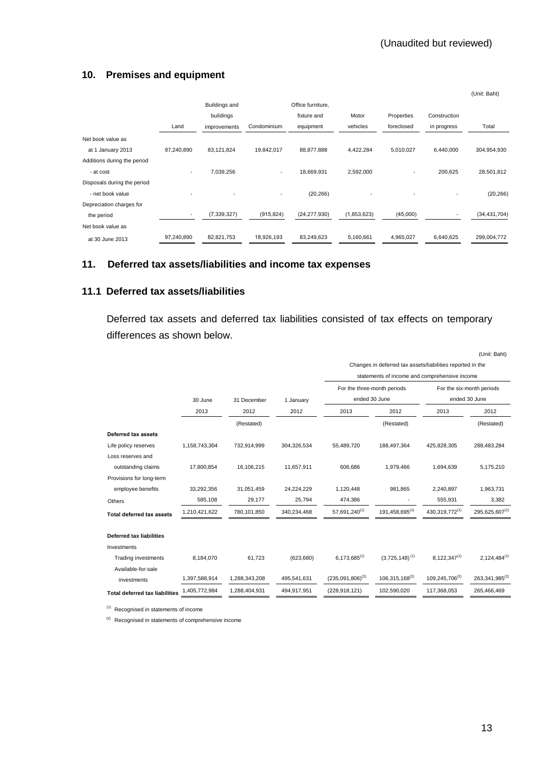## **10. Premises and equipment**

|                             |                          |               |                          |                   |             |                          |              | (Unit: Baht)   |
|-----------------------------|--------------------------|---------------|--------------------------|-------------------|-------------|--------------------------|--------------|----------------|
|                             |                          | Buildings and |                          | Office furniture, |             |                          |              |                |
|                             |                          | buildings     |                          | fixture and       | Motor       | Properties               | Construction |                |
|                             | Land                     | improvements  | Condominium              | equipment         | vehicles    | foreclosed               | in progress  | Total          |
| Net book value as           |                          |               |                          |                   |             |                          |              |                |
| at 1 January 2013           | 97.240.890               | 83,121,824    | 19,842,017               | 88,877,888        | 4,422,284   | 5,010,027                | 6,440,000    | 304,954,930    |
| Additions during the period |                          |               |                          |                   |             |                          |              |                |
| - at cost                   | $\overline{\phantom{a}}$ | 7,039,256     | $\overline{\phantom{a}}$ | 18,669,931        | 2,592,000   | $\overline{\phantom{a}}$ | 200,625      | 28,501,812     |
| Disposals during the period |                          |               |                          |                   |             |                          |              |                |
| - net book value            |                          |               |                          | (20, 266)         |             |                          |              | (20, 266)      |
| Depreciation charges for    |                          |               |                          |                   |             |                          |              |                |
| the period                  |                          | (7, 339, 327) | (915, 824)               | (24, 277, 930)    | (1,853,623) | (45,000)                 |              | (34, 431, 704) |
| Net book value as           |                          |               |                          |                   |             |                          |              |                |
| at 30 June 2013             | 97,240,890               | 82,821,753    | 18,926,193               | 83,249,623        | 5,160,661   | 4,965,027                | 6,640,625    | 299,004,772    |

## **11. Deferred tax assets/liabilities and income tax expenses**

## **11.1 Deferred tax assets/liabilities**

Deferred tax assets and deferred tax liabilities consisted of tax effects on temporary differences as shown below.

|                                       |               |               |             |                       |                                                            |                   | (Unit: Baht)              |
|---------------------------------------|---------------|---------------|-------------|-----------------------|------------------------------------------------------------|-------------------|---------------------------|
|                                       |               |               |             |                       | Changes in deferred tax assets/liabilities reported in the |                   |                           |
|                                       |               |               |             |                       | statements of income and comprehensive income              |                   |                           |
|                                       |               |               |             |                       | For the three-month periods                                |                   | For the six-month periods |
|                                       | 30 June       | 31 December   | 1 January   | ended 30 June         |                                                            |                   | ended 30 June             |
|                                       | 2013          | 2012          | 2012        | 2013                  | 2012                                                       | 2013              | 2012                      |
|                                       |               | (Restated)    |             |                       | (Restated)                                                 |                   | (Restated)                |
| Deferred tax assets                   |               |               |             |                       |                                                            |                   |                           |
| Life policy reserves                  | 1,158,743,304 | 732,914,999   | 304,326,534 | 55,489,720            | 188,497,364                                                | 425,828,305       | 288,483,284               |
| Loss reserves and                     |               |               |             |                       |                                                            |                   |                           |
| outstanding claims                    | 17,800,854    | 16,106,215    | 11,657,911  | 606,686               | 1,979,466                                                  | 1,694,639         | 5,175,210                 |
| Provisions for long-term              |               |               |             |                       |                                                            |                   |                           |
| employee benefits                     | 33,292,356    | 31,051,459    | 24,224,229  | 1,120,448             | 981,865                                                    | 2,240,897         | 1,963,731                 |
| Others                                | 585,108       | 29,177        | 25,794      | 474,386               |                                                            | 555,931           | 3,382                     |
| <b>Total deferred tax assets</b>      | 1,210,421,622 | 780,101,850   | 340,234,468 | $57,691,240^{(1)}$    | $191,458,695^{(1)}$                                        | 430, 319, 772(1)  | 295,625,607(1)            |
| <b>Deferred tax liabilities</b>       |               |               |             |                       |                                                            |                   |                           |
| Investments                           |               |               |             |                       |                                                            |                   |                           |
| <b>Trading investments</b>            | 8,184,070     | 61,723        | (623, 680)  | $6,173,685^{(1)}$     | $(3,725,148)^{(1)}$                                        | $8,122,347^{(1)}$ | $2,124,484^{(1)}$         |
| Available-for-sale                    |               |               |             |                       |                                                            |                   |                           |
| investments                           | 1,397,588,914 | 1,288,343,208 | 495,541,631 | $(235,091,806)^{(2)}$ | 106,315,168(2)                                             | 109,245,706(2)    | 263, 341, 985(2)          |
| <b>Total deferred tax liabilities</b> | 1,405,772,984 | 1,288,404,931 | 494,917,951 | (228, 918, 121)       | 102,590,020                                                | 117,368,053       | 265,466,469               |

(1) Recognised in statements of income

 $(2)$  Recognised in statements of comprehensive income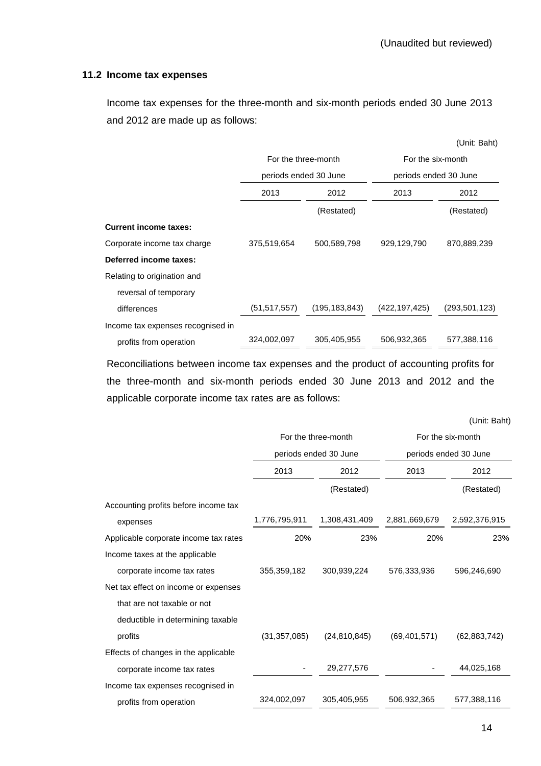### **11.2 Income tax expenses**

Income tax expenses for the three-month and six-month periods ended 30 June 2013 and 2012 are made up as follows:

|                                   |                       |                 |                                            | (Unit: Baht)    |  |
|-----------------------------------|-----------------------|-----------------|--------------------------------------------|-----------------|--|
|                                   | For the three-month   |                 | For the six-month<br>periods ended 30 June |                 |  |
|                                   | periods ended 30 June |                 |                                            |                 |  |
|                                   | 2013                  | 2012            | 2013                                       | 2012            |  |
|                                   |                       | (Restated)      |                                            | (Restated)      |  |
| <b>Current income taxes:</b>      |                       |                 |                                            |                 |  |
| Corporate income tax charge       | 375,519,654           | 500,589,798     | 929,129,790                                | 870,889,239     |  |
| Deferred income taxes:            |                       |                 |                                            |                 |  |
| Relating to origination and       |                       |                 |                                            |                 |  |
| reversal of temporary             |                       |                 |                                            |                 |  |
| differences                       | (51, 517, 557)        | (195, 183, 843) | (422,197,425)                              | (293, 501, 123) |  |
| Income tax expenses recognised in |                       |                 |                                            |                 |  |
| profits from operation            | 324,002,097           | 305,405,955     | 506,932,365                                | 577,388,116     |  |

 Reconciliations between income tax expenses and the product of accounting profits for the three-month and six-month periods ended 30 June 2013 and 2012 and the applicable corporate income tax rates are as follows:

(Unit: Baht)

|                                       |                | For the three-month   | For the six-month<br>periods ended 30 June |                |  |
|---------------------------------------|----------------|-----------------------|--------------------------------------------|----------------|--|
|                                       |                | periods ended 30 June |                                            |                |  |
|                                       | 2013           | 2012                  | 2013                                       | 2012           |  |
|                                       |                | (Restated)            |                                            | (Restated)     |  |
| Accounting profits before income tax  |                |                       |                                            |                |  |
| expenses                              | 1,776,795,911  | 1,308,431,409         | 2,881,669,679                              | 2,592,376,915  |  |
| Applicable corporate income tax rates | 20%            | 23%                   | 20%                                        | 23%            |  |
| Income taxes at the applicable        |                |                       |                                            |                |  |
| corporate income tax rates            | 355,359,182    | 300,939,224           | 576,333,936                                | 596,246,690    |  |
| Net tax effect on income or expenses  |                |                       |                                            |                |  |
| that are not taxable or not           |                |                       |                                            |                |  |
| deductible in determining taxable     |                |                       |                                            |                |  |
| profits                               | (31, 357, 085) | (24, 810, 845)        | (69, 401, 571)                             | (62, 883, 742) |  |
| Effects of changes in the applicable  |                |                       |                                            |                |  |
| corporate income tax rates            |                | 29,277,576            |                                            | 44,025,168     |  |
| Income tax expenses recognised in     |                |                       |                                            |                |  |
| profits from operation                | 324,002,097    | 305,405,955           | 506,932,365                                | 577,388,116    |  |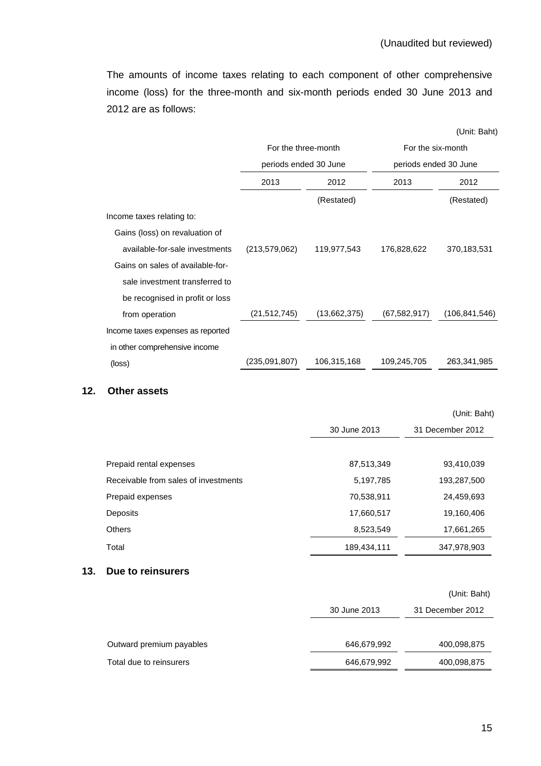(Unit: Baht)

 The amounts of income taxes relating to each component of other comprehensive income (loss) for the three-month and six-month periods ended 30 June 2013 and 2012 are as follows:

|                                   | For the three-month   |              | For the six-month     |                 |  |
|-----------------------------------|-----------------------|--------------|-----------------------|-----------------|--|
|                                   | periods ended 30 June |              | periods ended 30 June |                 |  |
|                                   | 2013                  | 2012         | 2013                  | 2012            |  |
|                                   |                       | (Restated)   |                       | (Restated)      |  |
| Income taxes relating to:         |                       |              |                       |                 |  |
| Gains (loss) on revaluation of    |                       |              |                       |                 |  |
| available-for-sale investments    | (213, 579, 062)       | 119,977,543  | 176,828,622           | 370,183,531     |  |
| Gains on sales of available-for-  |                       |              |                       |                 |  |
| sale investment transferred to    |                       |              |                       |                 |  |
| be recognised in profit or loss   |                       |              |                       |                 |  |
| from operation                    | (21, 512, 745)        | (13,662,375) | (67, 582, 917)        | (106, 841, 546) |  |
| Income taxes expenses as reported |                       |              |                       |                 |  |
| in other comprehensive income     |                       |              |                       |                 |  |
| (loss)                            | (235,091,807)         | 106,315,168  | 109,245,705           | 263,341,985     |  |

#### **12. Other assets**

|                                      |              | (Unit: Baht)     |
|--------------------------------------|--------------|------------------|
|                                      | 30 June 2013 | 31 December 2012 |
|                                      |              |                  |
| Prepaid rental expenses              | 87,513,349   | 93,410,039       |
| Receivable from sales of investments | 5,197,785    | 193,287,500      |
| Prepaid expenses                     | 70,538,911   | 24,459,693       |
| Deposits                             | 17,660,517   | 19,160,406       |
| <b>Others</b>                        | 8,523,549    | 17,661,265       |
| Total                                | 189,434,111  | 347,978,903      |

### **13. Due to reinsurers**

|                          |              | (Unit: Baht)     |
|--------------------------|--------------|------------------|
|                          | 30 June 2013 | 31 December 2012 |
|                          |              |                  |
| Outward premium payables | 646,679,992  | 400,098,875      |
| Total due to reinsurers  | 646,679,992  | 400,098,875      |
|                          |              |                  |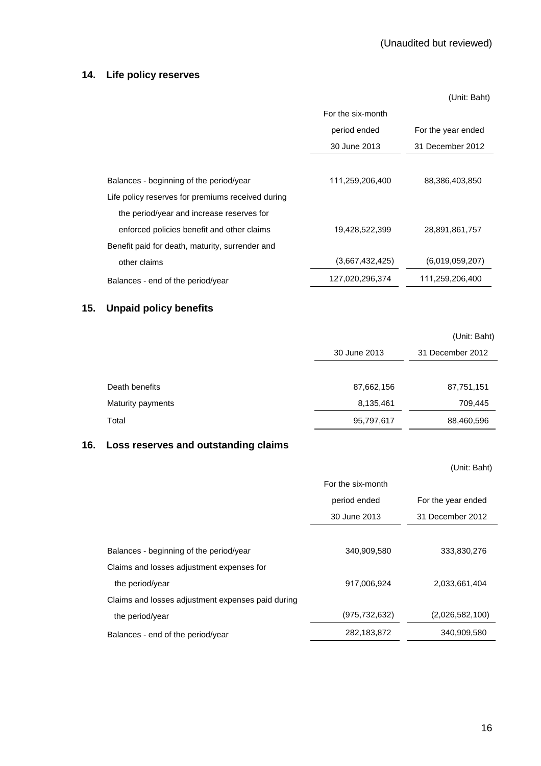### **14. Life policy reserves**

 (Unit: Baht) For the six-month period ended 30 June 2013 For the year ended 31 December 2012 Balances - beginning of the period/year 111,259,206,400 88,386,403,850 Life policy reserves for premiums received during the period/year and increase reserves for enforced policies benefit and other claims 19,428,522,399 28,891,861,757 Benefit paid for death, maturity, surrender and other claims (3,667,432,425) (6,019,059,207) Balances - end of the period/year 127,020,296,374 111,259,206,400

## **15. Unpaid policy benefits**

|                   |              | (Unit: Baht)     |  |
|-------------------|--------------|------------------|--|
|                   | 30 June 2013 | 31 December 2012 |  |
|                   |              |                  |  |
| Death benefits    | 87,662,156   | 87,751,151       |  |
| Maturity payments | 8,135,461    | 709,445          |  |
| Total             | 95,797,617   | 88,460,596       |  |

### **16. Loss reserves and outstanding claims**

|                                                   |                   | (Unit: Baht)       |
|---------------------------------------------------|-------------------|--------------------|
|                                                   | For the six-month |                    |
|                                                   | period ended      | For the year ended |
|                                                   | 30 June 2013      | 31 December 2012   |
|                                                   |                   |                    |
| Balances - beginning of the period/year           | 340,909,580       | 333,830,276        |
| Claims and losses adjustment expenses for         |                   |                    |
| the period/year                                   | 917,006,924       | 2,033,661,404      |
| Claims and losses adjustment expenses paid during |                   |                    |
| the period/year                                   | (975, 732, 632)   | (2,026,582,100)    |
| Balances - end of the period/year                 | 282, 183, 872     | 340,909,580        |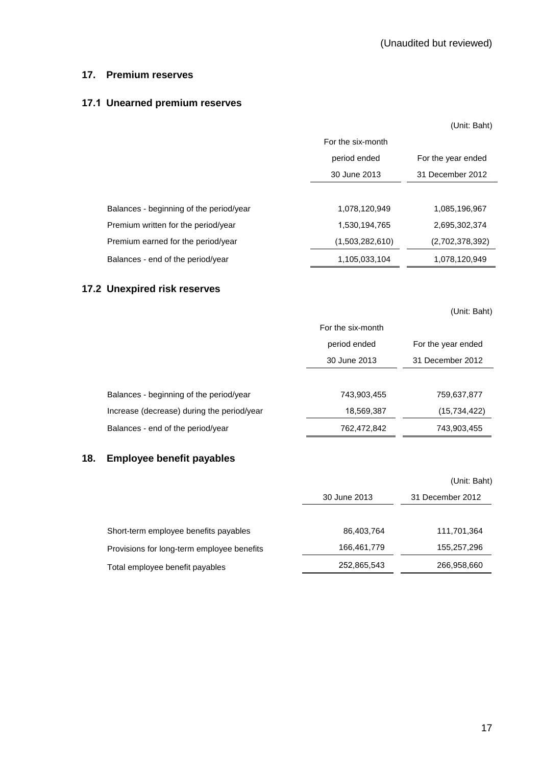### **17. Premium reserves**

## **17.1 Unearned premium reserves**

|                                         |                   | (Unit: Baht)       |
|-----------------------------------------|-------------------|--------------------|
|                                         | For the six-month |                    |
|                                         | period ended      | For the year ended |
|                                         | 30 June 2013      | 31 December 2012   |
|                                         |                   |                    |
| Balances - beginning of the period/year | 1,078,120,949     | 1,085,196,967      |
| Premium written for the period/year     | 1,530,194,765     | 2,695,302,374      |
| Premium earned for the period/year      | (1,503,282,610)   | (2,702,378,392)    |
| Balances - end of the period/year       | 1,105,033,104     | 1,078,120,949      |

## **17.2 Unexpired risk reserves**

(Unit: Baht)

|                                            | For the six-month |                    |
|--------------------------------------------|-------------------|--------------------|
|                                            | period ended      | For the year ended |
|                                            | 30 June 2013      | 31 December 2012   |
|                                            |                   |                    |
| Balances - beginning of the period/year    | 743,903,455       | 759,637,877        |
| Increase (decrease) during the period/year | 18,569,387        | (15, 734, 422)     |
| Balances - end of the period/year          | 762,472,842       | 743,903,455        |

## **18. Employee benefit payables**

|                                            |              | (Unit: Baht)     |
|--------------------------------------------|--------------|------------------|
|                                            | 30 June 2013 | 31 December 2012 |
| Short-term employee benefits payables      | 86,403,764   | 111,701,364      |
| Provisions for long-term employee benefits | 166,461,779  | 155,257,296      |
| Total employee benefit payables            | 252,865,543  | 266,958,660      |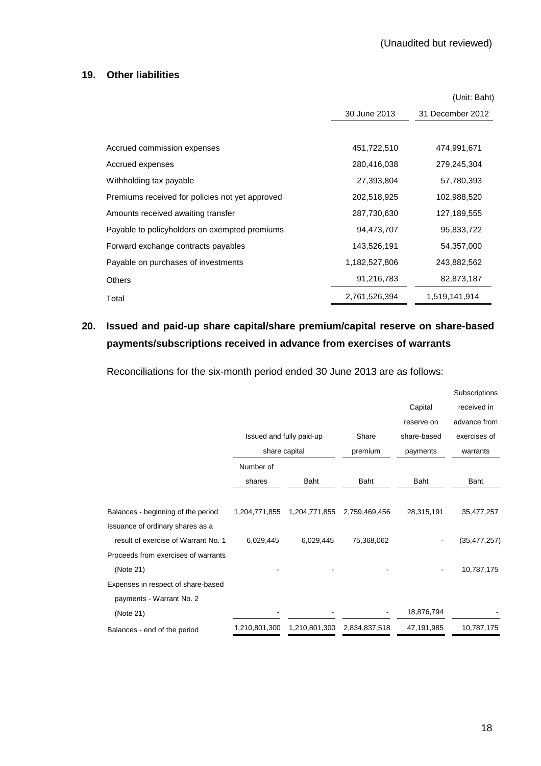### **19. Other liabilities**

|                                                 |               | (Unit: Baht)     |
|-------------------------------------------------|---------------|------------------|
|                                                 | 30 June 2013  | 31 December 2012 |
|                                                 |               |                  |
| Accrued commission expenses                     | 451,722,510   | 474,991,671      |
| Accrued expenses                                | 280,416,038   | 279,245,304      |
| Withholding tax payable                         | 27,393,804    | 57,780,393       |
| Premiums received for policies not yet approved | 202,518,925   | 102,988,520      |
| Amounts received awaiting transfer              | 287,730,630   | 127,189,555      |
| Payable to policyholders on exempted premiums   | 94,473,707    | 95,833,722       |
| Forward exchange contracts payables             | 143,526,191   | 54,357,000       |
| Payable on purchases of investments             | 1,182,527,806 | 243,882,562      |
| <b>Others</b>                                   | 91,216,783    | 82,873,187       |
| Total                                           | 2,761,526,394 | 1,519,141,914    |

# **20. Issued and paid-up share capital/share premium/capital reserve on share-based payments/subscriptions received in advance from exercises of warrants**

Reconciliations for the six-month period ended 30 June 2013 are as follows:

|                                     |               |                          |               |             | Subscriptions  |
|-------------------------------------|---------------|--------------------------|---------------|-------------|----------------|
|                                     |               |                          |               | Capital     | received in    |
|                                     |               |                          |               | reserve on  | advance from   |
|                                     |               | Issued and fully paid-up | Share         | share-based | exercises of   |
|                                     |               | share capital            | premium       | payments    | warrants       |
|                                     | Number of     |                          |               |             |                |
|                                     | shares        | <b>Baht</b>              | <b>Baht</b>   | <b>Baht</b> | Baht           |
|                                     |               |                          |               |             |                |
| Balances - beginning of the period  | 1,204,771,855 | 1,204,771,855            | 2,759,469,456 | 28,315,191  | 35,477,257     |
| Issuance of ordinary shares as a    |               |                          |               |             |                |
| result of exercise of Warrant No. 1 | 6,029,445     | 6,029,445                | 75,368,062    |             | (35, 477, 257) |
| Proceeds from exercises of warrants |               |                          |               |             |                |
| (Note 21)                           |               |                          |               |             | 10,787,175     |
| Expenses in respect of share-based  |               |                          |               |             |                |
| payments - Warrant No. 2            |               |                          |               |             |                |
| (Note 21)                           |               |                          |               | 18,876,794  |                |
| Balances - end of the period        | 1,210,801,300 | 1,210,801,300            | 2,834,837,518 | 47,191,985  | 10,787,175     |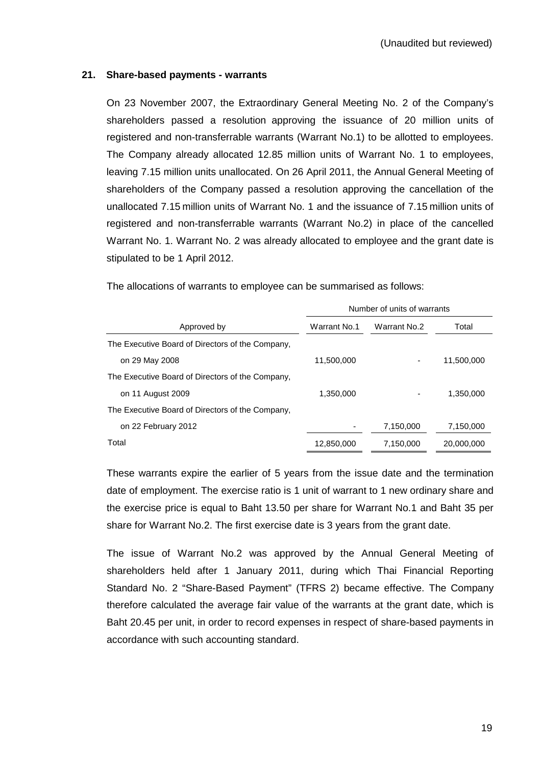## **21. Share-based payments - warrants**

On 23 November 2007, the Extraordinary General Meeting No. 2 of the Company's shareholders passed a resolution approving the issuance of 20 million units of registered and non-transferrable warrants (Warrant No.1) to be allotted to employees. The Company already allocated 12.85 million units of Warrant No. 1 to employees, leaving 7.15 million units unallocated. On 26 April 2011, the Annual General Meeting of shareholders of the Company passed a resolution approving the cancellation of the unallocated 7.15 million units of Warrant No. 1 and the issuance of 7.15 million units of registered and non-transferrable warrants (Warrant No.2) in place of the cancelled Warrant No. 1. Warrant No. 2 was already allocated to employee and the grant date is stipulated to be 1 April 2012.

|                                                  | Number of units of warrants |              |            |  |
|--------------------------------------------------|-----------------------------|--------------|------------|--|
| Approved by                                      | Warrant No.1                | Warrant No.2 | Total      |  |
| The Executive Board of Directors of the Company, |                             |              |            |  |
| on 29 May 2008                                   | 11,500,000                  |              | 11,500,000 |  |
| The Executive Board of Directors of the Company, |                             |              |            |  |
| on 11 August 2009                                | 1.350.000                   |              | 1.350.000  |  |
| The Executive Board of Directors of the Company, |                             |              |            |  |
| on 22 February 2012                              |                             | 7,150,000    | 7,150,000  |  |
| Total                                            | 12,850,000                  | 7,150,000    | 20,000,000 |  |

The allocations of warrants to employee can be summarised as follows:

 These warrants expire the earlier of 5 years from the issue date and the termination date of employment. The exercise ratio is 1 unit of warrant to 1 new ordinary share and the exercise price is equal to Baht 13.50 per share for Warrant No.1 and Baht 35 per share for Warrant No.2. The first exercise date is 3 years from the grant date.

 The issue of Warrant No.2 was approved by the Annual General Meeting of shareholders held after 1 January 2011, during which Thai Financial Reporting Standard No. 2 "Share-Based Payment" (TFRS 2) became effective. The Company therefore calculated the average fair value of the warrants at the grant date, which is Baht 20.45 per unit, in order to record expenses in respect of share-based payments in accordance with such accounting standard.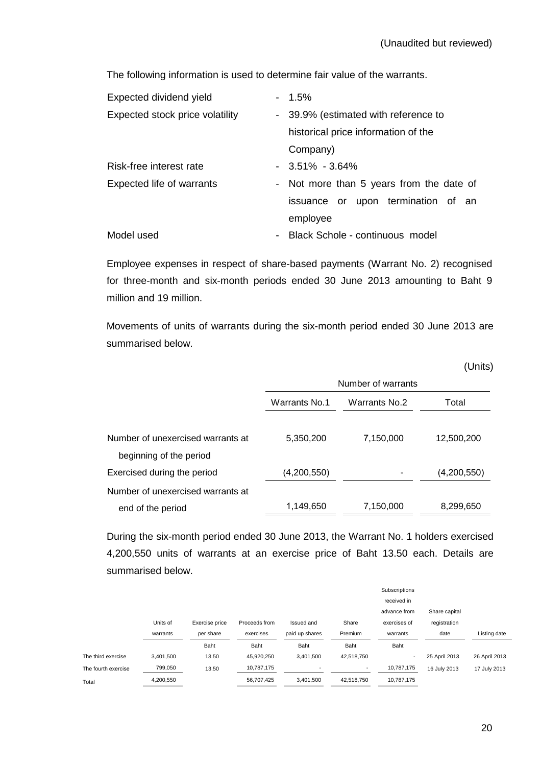The following information is used to determine fair value of the warrants.

| Expected dividend yield         | $-1.5\%$                                          |
|---------------------------------|---------------------------------------------------|
| Expected stock price volatility | - 39.9% (estimated with reference to              |
|                                 | historical price information of the               |
|                                 | Company)                                          |
| Risk-free interest rate         | $-3.51\% -3.64\%$                                 |
| Expected life of warrants       | - Not more than 5 years from the date of          |
|                                 | issuance or upon termination of an                |
|                                 | employee                                          |
| Model used                      | Black Schole - continuous model<br>$\blacksquare$ |
|                                 |                                                   |

Employee expenses in respect of share-based payments (Warrant No. 2) recognised for three-month and six-month periods ended 30 June 2013 amounting to Baht 9 million and 19 million.

 Movements of units of warrants during the six-month period ended 30 June 2013 are summarised below.

|                                   |               |                    | (Units)     |
|-----------------------------------|---------------|--------------------|-------------|
|                                   |               | Number of warrants |             |
|                                   | Warrants No.1 | Warrants No.2      | Total       |
|                                   |               |                    |             |
| Number of unexercised warrants at | 5,350,200     | 7,150,000          | 12,500,200  |
| beginning of the period           |               |                    |             |
| Exercised during the period       | (4,200,550)   |                    | (4,200,550) |
| Number of unexercised warrants at |               |                    |             |
| end of the period                 | 1,149,650     | 7,150,000          | 8,299,650   |

During the six-month period ended 30 June 2013, the Warrant No. 1 holders exercised 4,200,550 units of warrants at an exercise price of Baht 13.50 each. Details are summarised below.

|                     |           |                |               |                          |            | Subscriptions            |               |               |
|---------------------|-----------|----------------|---------------|--------------------------|------------|--------------------------|---------------|---------------|
|                     |           |                |               |                          |            | received in              |               |               |
|                     |           |                |               |                          |            | advance from             | Share capital |               |
|                     | Units of  | Exercise price | Proceeds from | Issued and               | Share      | exercises of             | registration  |               |
|                     | warrants  | per share      | exercises     | paid up shares           | Premium    | warrants                 | date          | Listing date  |
|                     |           | Baht           | Baht          | Baht                     | Baht       | Baht                     |               |               |
| The third exercise  | 3,401,500 | 13.50          | 45.920.250    | 3,401,500                | 42,518,750 | $\overline{\phantom{a}}$ | 25 April 2013 | 26 April 2013 |
| The fourth exercise | 799,050   | 13.50          | 10,787,175    | $\overline{\phantom{a}}$ | ۰          | 10,787,175               | 16 July 2013  | 17 July 2013  |
| Total               | 4,200,550 |                | 56,707,425    | 3.401.500                | 42.518.750 | 10,787,175               |               |               |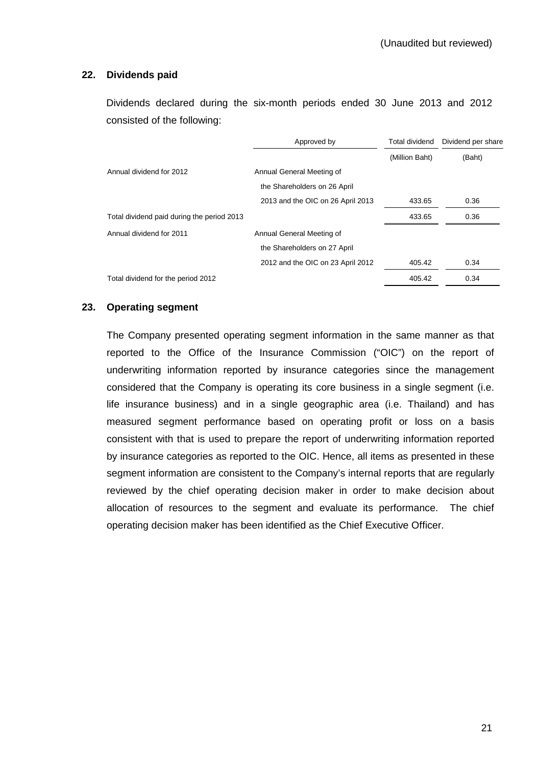### **22. Dividends paid**

 Dividends declared during the six-month periods ended 30 June 2013 and 2012 consisted of the following:

|                                            | Approved by                       | Total dividend | Dividend per share |
|--------------------------------------------|-----------------------------------|----------------|--------------------|
|                                            |                                   | (Million Baht) | (Baht)             |
| Annual dividend for 2012                   | Annual General Meeting of         |                |                    |
|                                            | the Shareholders on 26 April      |                |                    |
|                                            | 2013 and the OIC on 26 April 2013 | 433.65         | 0.36               |
| Total dividend paid during the period 2013 |                                   | 433.65         | 0.36               |
| Annual dividend for 2011                   | Annual General Meeting of         |                |                    |
|                                            | the Shareholders on 27 April      |                |                    |
|                                            | 2012 and the OIC on 23 April 2012 | 405.42         | 0.34               |
| Total dividend for the period 2012         |                                   | 405.42         | 0.34               |

### **23. Operating segment**

The Company presented operating segment information in the same manner as that reported to the Office of the Insurance Commission ("OIC") on the report of underwriting information reported by insurance categories since the management considered that the Company is operating its core business in a single segment (i.e. life insurance business) and in a single geographic area (i.e. Thailand) and has measured segment performance based on operating profit or loss on a basis consistent with that is used to prepare the report of underwriting information reported by insurance categories as reported to the OIC. Hence, all items as presented in these segment information are consistent to the Company's internal reports that are regularly reviewed by the chief operating decision maker in order to make decision about allocation of resources to the segment and evaluate its performance. The chief operating decision maker has been identified as the Chief Executive Officer.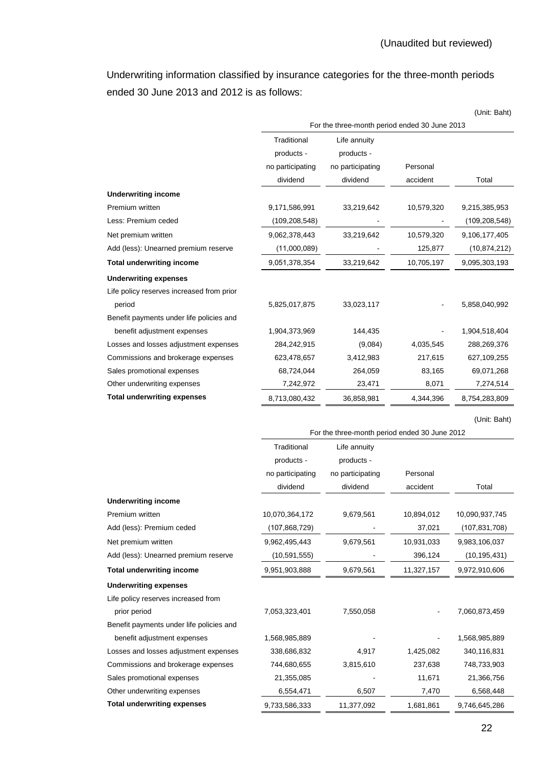Underwriting information classified by insurance categories for the three-month periods ended 30 June 2013 and 2012 is as follows:

|                                                                   |                  |                                               |            | (Unit: Baht)    |
|-------------------------------------------------------------------|------------------|-----------------------------------------------|------------|-----------------|
|                                                                   |                  | For the three-month period ended 30 June 2013 |            |                 |
|                                                                   | Traditional      | Life annuity                                  |            |                 |
|                                                                   | products -       | products -                                    |            |                 |
|                                                                   | no participating | no participating                              | Personal   |                 |
|                                                                   | dividend         | dividend                                      | accident   | Total           |
| <b>Underwriting income</b>                                        |                  |                                               |            |                 |
| Premium written                                                   | 9,171,586,991    | 33,219,642                                    | 10,579,320 | 9,215,385,953   |
| Less: Premium ceded                                               | (109, 208, 548)  |                                               |            | (109, 208, 548) |
| Net premium written                                               | 9,062,378,443    | 33,219,642                                    | 10,579,320 | 9,106,177,405   |
| Add (less): Unearned premium reserve                              | (11,000,089)     |                                               | 125,877    | (10, 874, 212)  |
| <b>Total underwriting income</b>                                  | 9,051,378,354    | 33,219,642                                    | 10,705,197 | 9,095,303,193   |
| <b>Underwriting expenses</b>                                      |                  |                                               |            |                 |
| Life policy reserves increased from prior                         |                  |                                               |            |                 |
| period                                                            | 5,825,017,875    | 33,023,117                                    |            | 5,858,040,992   |
| Benefit payments under life policies and                          |                  |                                               |            |                 |
| benefit adjustment expenses                                       | 1,904,373,969    | 144,435                                       |            | 1,904,518,404   |
| Losses and losses adjustment expenses                             | 284,242,915      | (9,084)                                       | 4,035,545  | 288,269,376     |
| Commissions and brokerage expenses                                | 623,478,657      | 3,412,983                                     | 217,615    | 627,109,255     |
| Sales promotional expenses                                        | 68,724,044       | 264,059                                       | 83,165     | 69,071,268      |
| Other underwriting expenses                                       | 7,242,972        | 23,471                                        | 8,071      | 7,274,514       |
| <b>Total underwriting expenses</b>                                | 8,713,080,432    | 36,858,981                                    | 4,344,396  | 8,754,283,809   |
|                                                                   |                  |                                               |            |                 |
|                                                                   |                  |                                               |            |                 |
|                                                                   |                  | For the three-month period ended 30 June 2012 |            | (Unit: Baht)    |
|                                                                   | Traditional      | Life annuity                                  |            |                 |
|                                                                   | products -       | products -                                    |            |                 |
|                                                                   | no participating | no participating                              | Personal   |                 |
|                                                                   | dividend         | dividend                                      | accident   | Total           |
| <b>Underwriting income</b>                                        |                  |                                               |            |                 |
| Premium written                                                   | 10,070,364,172   | 9,679,561                                     | 10,894,012 | 10,090,937,745  |
| Add (less): Premium ceded                                         | (107, 868, 729)  |                                               | 37,021     | (107, 831, 708) |
| Net premium written                                               | 9,962,495,443    | 9,679,561                                     | 10,931,033 | 9,983,106,037   |
| Add (less): Unearned premium reserve                              | (10, 591, 555)   |                                               | 396,124    | (10,195,431)    |
| <b>Total underwriting income</b>                                  | 9,951,903,888    | 9,679,561                                     | 11,327,157 | 9,972,910,606   |
| <b>Underwriting expenses</b>                                      |                  |                                               |            |                 |
| Life policy reserves increased from                               |                  |                                               |            |                 |
| prior period                                                      | 7,053,323,401    | 7,550,058                                     |            | 7,060,873,459   |
| Benefit payments under life policies and                          |                  |                                               |            |                 |
| benefit adjustment expenses                                       | 1,568,985,889    |                                               |            | 1,568,985,889   |
| Losses and losses adjustment expenses                             | 338,686,832      | 4,917                                         | 1,425,082  | 340,116,831     |
| Commissions and brokerage expenses                                | 744,680,655      | 3,815,610                                     | 237,638    | 748,733,903     |
| Sales promotional expenses                                        | 21,355,085       |                                               | 11,671     | 21,366,756      |
| Other underwriting expenses<br><b>Total underwriting expenses</b> | 6,554,471        | 6,507                                         | 7,470      | 6,568,448       |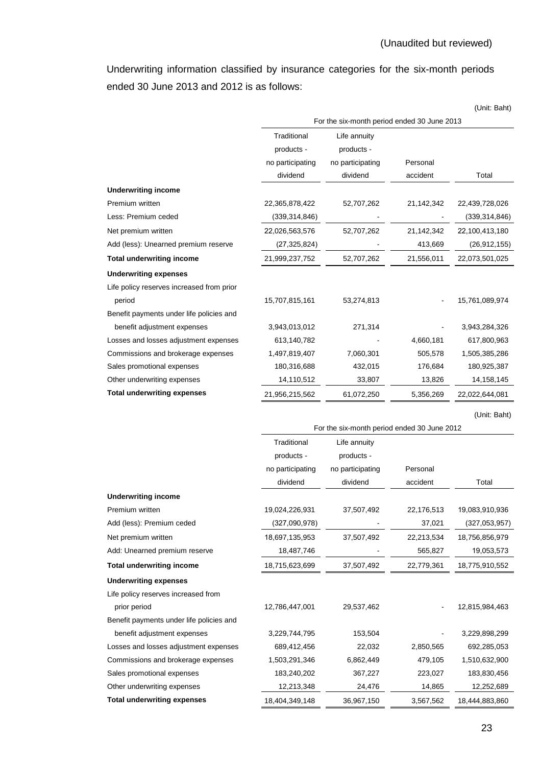Underwriting information classified by insurance categories for the six-month periods ended 30 June 2013 and 2012 is as follows:

|                                           |                  |                                             |            | (Unit: Baht)    |
|-------------------------------------------|------------------|---------------------------------------------|------------|-----------------|
|                                           |                  | For the six-month period ended 30 June 2013 |            |                 |
|                                           | Traditional      | Life annuity                                |            |                 |
|                                           | products -       | products -                                  |            |                 |
|                                           | no participating | no participating                            | Personal   |                 |
|                                           | dividend         | dividend                                    | accident   | Total           |
| <b>Underwriting income</b>                |                  |                                             |            |                 |
| Premium written                           | 22,365,878,422   | 52,707,262                                  | 21,142,342 | 22,439,728,026  |
| Less: Premium ceded                       | (339, 314, 846)  |                                             |            | (339, 314, 846) |
| Net premium written                       | 22,026,563,576   | 52,707,262                                  | 21,142,342 | 22,100,413,180  |
| Add (less): Unearned premium reserve      | (27, 325, 824)   |                                             | 413,669    | (26, 912, 155)  |
| <b>Total underwriting income</b>          | 21,999,237,752   | 52,707,262                                  | 21,556,011 | 22,073,501,025  |
| <b>Underwriting expenses</b>              |                  |                                             |            |                 |
| Life policy reserves increased from prior |                  |                                             |            |                 |
| period                                    | 15,707,815,161   | 53,274,813                                  |            | 15,761,089,974  |
| Benefit payments under life policies and  |                  |                                             |            |                 |
| benefit adjustment expenses               | 3,943,013,012    | 271,314                                     |            | 3,943,284,326   |
| Losses and losses adjustment expenses     | 613,140,782      |                                             | 4,660,181  | 617,800,963     |
| Commissions and brokerage expenses        | 1,497,819,407    | 7,060,301                                   | 505,578    | 1,505,385,286   |
| Sales promotional expenses                | 180,316,688      | 432,015                                     | 176,684    | 180,925,387     |
| Other underwriting expenses               | 14,110,512       | 33,807                                      | 13,826     | 14, 158, 145    |
| <b>Total underwriting expenses</b>        | 21,956,215,562   | 61,072,250                                  | 5,356,269  | 22,022,644,081  |
|                                           |                  |                                             |            |                 |
|                                           |                  |                                             |            |                 |
|                                           |                  | For the six-month period ended 30 June 2012 |            | (Unit: Baht)    |
|                                           | Traditional      | Life annuity                                |            |                 |
|                                           | products -       | products -                                  |            |                 |
|                                           | no participating | no participating                            | Personal   |                 |
|                                           | dividend         | dividend                                    | accident   | Total           |
| <b>Underwriting income</b>                |                  |                                             |            |                 |
| Premium written                           | 19,024,226,931   | 37,507,492                                  | 22,176,513 | 19,083,910,936  |
| Add (less): Premium ceded                 | (327,090,978)    |                                             | 37,021     | (327,053,957)   |
| Net premium written                       | 18,697,135,953   | 37,507,492                                  | 22,213,534 | 18,756,856,979  |
| Add: Unearned premium reserve             | 18,487,746       |                                             | 565,827    | 19,053,573      |
| <b>Total underwriting income</b>          | 18,715,623,699   | 37,507,492                                  | 22,779,361 | 18,775,910,552  |
| <b>Underwriting expenses</b>              |                  |                                             |            |                 |
| Life policy reserves increased from       |                  |                                             |            |                 |
| prior period                              | 12,786,447,001   | 29,537,462                                  |            | 12,815,984,463  |
| Benefit payments under life policies and  |                  |                                             |            |                 |
| benefit adjustment expenses               | 3,229,744,795    | 153,504                                     |            | 3,229,898,299   |
| Losses and losses adjustment expenses     | 689,412,456      | 22,032                                      | 2,850,565  | 692,285,053     |
| Commissions and brokerage expenses        | 1,503,291,346    | 6,862,449                                   | 479,105    | 1,510,632,900   |
| Sales promotional expenses                | 183,240,202      | 367,227                                     | 223,027    | 183,830,456     |
| Other underwriting expenses               | 12,213,348       | 24,476                                      | 14,865     | 12,252,689      |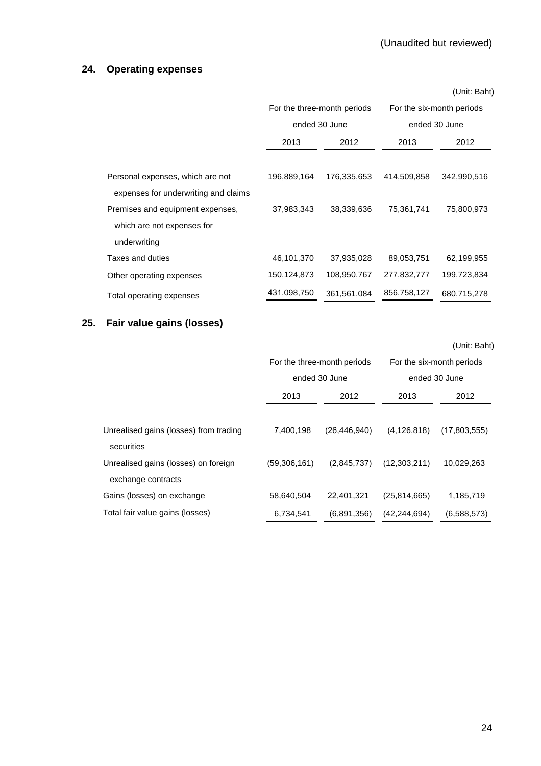# **24. Operating expenses**

|                                                                          |                             |             |                           | (Unit: Baht)  |
|--------------------------------------------------------------------------|-----------------------------|-------------|---------------------------|---------------|
|                                                                          | For the three-month periods |             | For the six-month periods |               |
|                                                                          | ended 30 June               |             |                           | ended 30 June |
|                                                                          | 2012<br>2013                |             | 2013                      | 2012          |
| Personal expenses, which are not                                         | 196,889,164                 | 176,335,653 | 414,509,858               | 342,990,516   |
| expenses for underwriting and claims<br>Premises and equipment expenses, | 37,983,343                  | 38,339,636  | 75,361,741                | 75,800,973    |
| which are not expenses for                                               |                             |             |                           |               |
| underwriting                                                             |                             |             |                           |               |
| Taxes and duties                                                         | 46,101,370                  | 37,935,028  | 89,053,751                | 62,199,955    |
| Other operating expenses                                                 | 150,124,873                 | 108,950,767 | 277,832,777               | 199,723,834   |
| Total operating expenses                                                 | 431,098,750                 | 361,561,084 | 856,758,127               | 680,715,278   |

## **25. Fair value gains (losses)**

(Unit: Baht)

|                                                            | For the three-month periods<br>ended 30 June |                | For the six-month periods<br>ended 30 June |              |
|------------------------------------------------------------|----------------------------------------------|----------------|--------------------------------------------|--------------|
|                                                            | 2013<br>2012                                 |                | 2013                                       | 2012         |
| Unrealised gains (losses) from trading<br>securities       | 7,400,198                                    | (26, 446, 940) | (4, 126, 818)                              | (17,803,555) |
| Unrealised gains (losses) on foreign<br>exchange contracts | (59,306,161)                                 | (2,845,737)    | (12,303,211)                               | 10,029,263   |
| Gains (losses) on exchange                                 | 58,640,504                                   | 22,401,321     | (25, 814, 665)                             | 1,185,719    |
| Total fair value gains (losses)                            | 6,734,541                                    | (6,891,356)    | (42, 244, 694)                             | (6,588,573)  |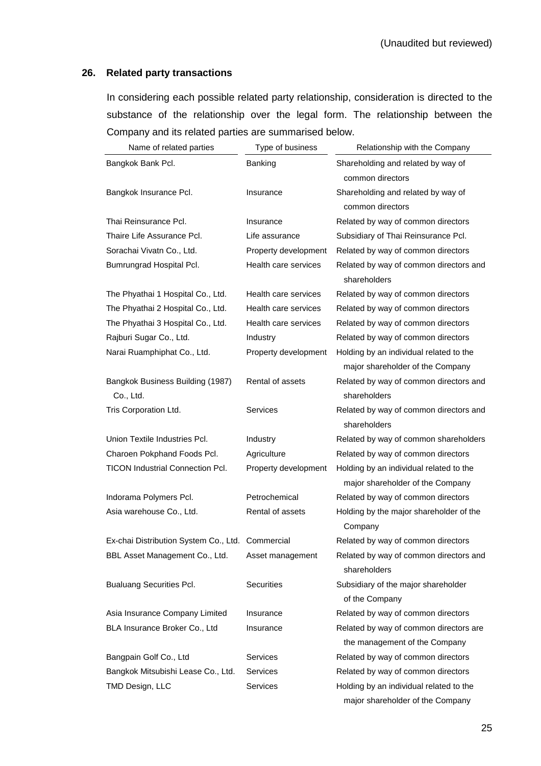### **26. Related party transactions**

 In considering each possible related party relationship, consideration is directed to the substance of the relationship over the legal form. The relationship between the Company and its related parties are summarised below.

| Name of related parties                          | Type of business     | Relationship with the Company                                               |
|--------------------------------------------------|----------------------|-----------------------------------------------------------------------------|
| Bangkok Bank Pcl.                                | Banking              | Shareholding and related by way of<br>common directors                      |
| Bangkok Insurance Pcl.                           | Insurance            | Shareholding and related by way of<br>common directors                      |
| Thai Reinsurance Pcl.                            | Insurance            | Related by way of common directors                                          |
| Thaire Life Assurance Pcl.                       | Life assurance       | Subsidiary of Thai Reinsurance Pcl.                                         |
| Sorachai Vivatn Co., Ltd.                        | Property development | Related by way of common directors                                          |
| Bumrungrad Hospital Pcl.                         | Health care services | Related by way of common directors and<br>shareholders                      |
| The Phyathai 1 Hospital Co., Ltd.                | Health care services | Related by way of common directors                                          |
| The Phyathai 2 Hospital Co., Ltd.                | Health care services | Related by way of common directors                                          |
| The Phyathai 3 Hospital Co., Ltd.                | Health care services | Related by way of common directors                                          |
| Rajburi Sugar Co., Ltd.                          | Industry             | Related by way of common directors                                          |
| Narai Ruamphiphat Co., Ltd.                      | Property development | Holding by an individual related to the<br>major shareholder of the Company |
| Bangkok Business Building (1987)<br>Co., Ltd.    | Rental of assets     | Related by way of common directors and<br>shareholders                      |
| Tris Corporation Ltd.                            | <b>Services</b>      | Related by way of common directors and<br>shareholders                      |
| Union Textile Industries Pcl.                    | Industry             | Related by way of common shareholders                                       |
| Charoen Pokphand Foods Pcl.                      | Agriculture          | Related by way of common directors                                          |
| <b>TICON Industrial Connection Pcl.</b>          | Property development | Holding by an individual related to the<br>major shareholder of the Company |
| Indorama Polymers Pcl.                           | Petrochemical        | Related by way of common directors                                          |
| Asia warehouse Co., Ltd.                         | Rental of assets     | Holding by the major shareholder of the<br>Company                          |
| Ex-chai Distribution System Co., Ltd. Commercial |                      | Related by way of common directors                                          |
| BBL Asset Management Co., Ltd.                   | Asset management     | Related by way of common directors and<br>shareholders                      |
| <b>Bualuang Securities Pcl.</b>                  | <b>Securities</b>    | Subsidiary of the major shareholder<br>of the Company                       |
| Asia Insurance Company Limited                   | Insurance            | Related by way of common directors                                          |
| BLA Insurance Broker Co., Ltd                    | Insurance            | Related by way of common directors are                                      |
|                                                  |                      | the management of the Company                                               |
| Bangpain Golf Co., Ltd                           | Services             | Related by way of common directors                                          |
| Bangkok Mitsubishi Lease Co., Ltd.               | <b>Services</b>      | Related by way of common directors                                          |
| TMD Design, LLC                                  | <b>Services</b>      | Holding by an individual related to the                                     |
|                                                  |                      | major shareholder of the Company                                            |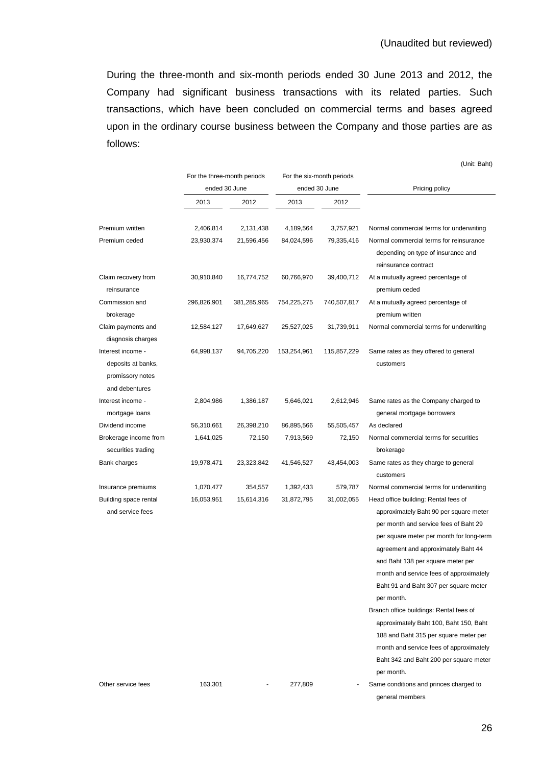During the three-month and six-month periods ended 30 June 2013 and 2012, the Company had significant business transactions with its related parties. Such transactions, which have been concluded on commercial terms and bases agreed upon in the ordinary course business between the Company and those parties are as follows:

|             |             |               |             | Pricing policy                                                                                                                                                                                             |
|-------------|-------------|---------------|-------------|------------------------------------------------------------------------------------------------------------------------------------------------------------------------------------------------------------|
| 2013        | 2012        | 2013          | 2012        |                                                                                                                                                                                                            |
| 2,406,814   | 2,131,438   | 4,189,564     | 3,757,921   | Normal commercial terms for underwriting                                                                                                                                                                   |
| 23,930,374  | 21,596,456  | 84,024,596    | 79,335,416  | Normal commercial terms for reinsurance<br>depending on type of insurance and<br>reinsurance contract                                                                                                      |
| 30,910,840  | 16,774,752  | 60,766,970    | 39,400,712  | At a mutually agreed percentage of<br>premium ceded                                                                                                                                                        |
| 296,826,901 | 381,285,965 | 754,225,275   | 740,507,817 | At a mutually agreed percentage of<br>premium written                                                                                                                                                      |
| 12,584,127  | 17,649,627  | 25,527,025    | 31,739,911  | Normal commercial terms for underwriting                                                                                                                                                                   |
| 64,998,137  | 94,705,220  | 153,254,961   | 115,857,229 | Same rates as they offered to general<br>customers                                                                                                                                                         |
| 2,804,986   | 1,386,187   | 5,646,021     | 2,612,946   | Same rates as the Company charged to<br>general mortgage borrowers                                                                                                                                         |
| 56,310,661  | 26,398,210  | 86,895,566    | 55,505,457  | As declared                                                                                                                                                                                                |
| 1,641,025   | 72,150      | 7,913,569     | 72,150      | Normal commercial terms for securities<br>brokerage                                                                                                                                                        |
| 19,978,471  | 23,323,842  | 41,546,527    | 43,454,003  | Same rates as they charge to general<br>customers                                                                                                                                                          |
| 1,070,477   | 354,557     | 1,392,433     | 579,787     | Normal commercial terms for underwriting                                                                                                                                                                   |
| 16,053,951  | 15,614,316  | 31,872,795    | 31,002,055  | Head office building: Rental fees of<br>approximately Baht 90 per square meter<br>per month and service fees of Baht 29<br>per square meter per month for long-term<br>agreement and approximately Baht 44 |
|             |             | ended 30 June |             | ended 30 June                                                                                                                                                                                              |

(Unit: Baht)

Other service fees 163,301 - 277,809 - Same conditions and princes charged to

and Baht 138 per square meter per month and service fees of approximately Baht 91 and Baht 307 per square meter

Branch office buildings: Rental fees of approximately Baht 100, Baht 150, Baht 188 and Baht 315 per square meter per month and service fees of approximately Baht 342 and Baht 200 per square meter

per month.

per month.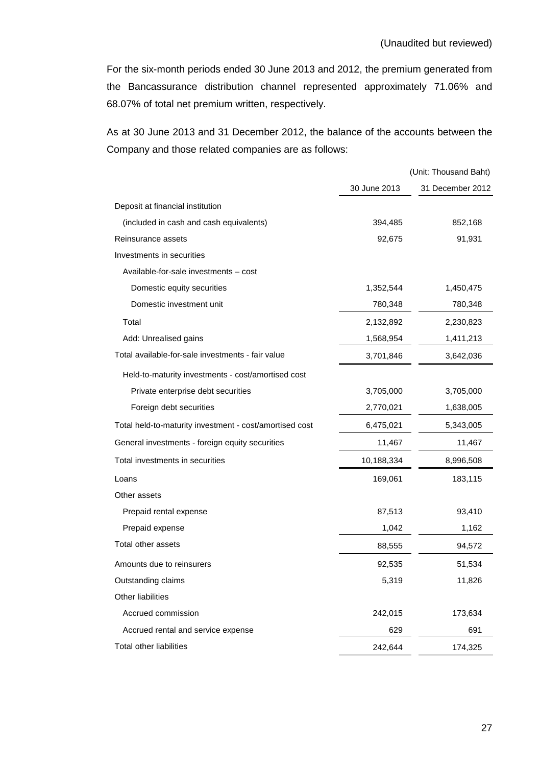For the six-month periods ended 30 June 2013 and 2012, the premium generated from the Bancassurance distribution channel represented approximately 71.06% and 68.07% of total net premium written, respectively.

As at 30 June 2013 and 31 December 2012, the balance of the accounts between the Company and those related companies are as follows:

|                                                         |              | (Unit: Thousand Baht) |
|---------------------------------------------------------|--------------|-----------------------|
|                                                         | 30 June 2013 | 31 December 2012      |
| Deposit at financial institution                        |              |                       |
| (included in cash and cash equivalents)                 | 394,485      | 852,168               |
| Reinsurance assets                                      | 92,675       | 91,931                |
| Investments in securities                               |              |                       |
| Available-for-sale investments - cost                   |              |                       |
| Domestic equity securities                              | 1,352,544    | 1,450,475             |
| Domestic investment unit                                | 780,348      | 780,348               |
| Total                                                   | 2,132,892    | 2,230,823             |
| Add: Unrealised gains                                   | 1,568,954    | 1,411,213             |
| Total available-for-sale investments - fair value       | 3,701,846    | 3,642,036             |
| Held-to-maturity investments - cost/amortised cost      |              |                       |
| Private enterprise debt securities                      | 3,705,000    | 3,705,000             |
| Foreign debt securities                                 | 2,770,021    | 1,638,005             |
| Total held-to-maturity investment - cost/amortised cost | 6,475,021    | 5,343,005             |
| General investments - foreign equity securities         | 11,467       | 11,467                |
| Total investments in securities                         | 10,188,334   | 8,996,508             |
| Loans                                                   | 169,061      | 183,115               |
| Other assets                                            |              |                       |
| Prepaid rental expense                                  | 87,513       | 93,410                |
| Prepaid expense                                         | 1,042        | 1,162                 |
| Total other assets                                      | 88,555       | 94,572                |
| Amounts due to reinsurers                               | 92,535       | 51,534                |
| Outstanding claims                                      | 5,319        | 11,826                |
| Other liabilities                                       |              |                       |
| Accrued commission                                      | 242,015      | 173,634               |
| Accrued rental and service expense                      | 629          | 691                   |
| Total other liabilities                                 | 242,644      | 174,325               |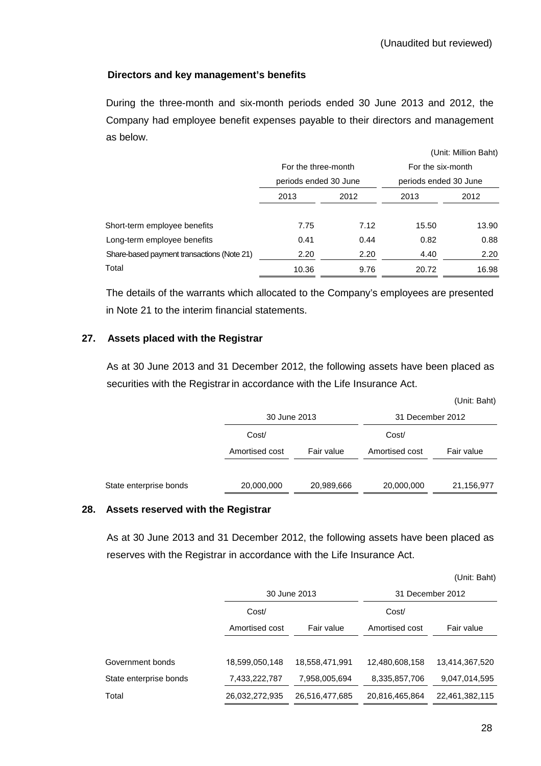## **Directors and key management's benefits**

 During the three-month and six-month periods ended 30 June 2013 and 2012, the Company had employee benefit expenses payable to their directors and management as below.

|                                            |                       |      |                       | (Unit: Million Baht) |
|--------------------------------------------|-----------------------|------|-----------------------|----------------------|
|                                            | For the three-month   |      | For the six-month     |                      |
|                                            | periods ended 30 June |      | periods ended 30 June |                      |
|                                            | 2013<br>2012          |      | 2013                  | 2012                 |
|                                            |                       |      |                       |                      |
| Short-term employee benefits               | 7.75                  | 7.12 | 15.50                 | 13.90                |
| Long-term employee benefits                | 0.41                  | 0.44 | 0.82                  | 0.88                 |
| Share-based payment transactions (Note 21) | 2.20                  | 2.20 | 4.40                  | 2.20                 |
| Total                                      | 10.36                 | 9.76 | 20.72                 | 16.98                |

The details of the warrants which allocated to the Company's employees are presented in Note 21 to the interim financial statements.

## **27. Assets placed with the Registrar**

 As at 30 June 2013 and 31 December 2012, the following assets have been placed as securities with the Registrar in accordance with the Life Insurance Act.

|                        |                |            |                  | JUIN. Danij |
|------------------------|----------------|------------|------------------|-------------|
|                        | 30 June 2013   |            | 31 December 2012 |             |
|                        | Cost/          |            | Cost/            |             |
|                        | Amortised cost | Fair value | Amortised cost   | Fair value  |
|                        |                |            |                  |             |
| State enterprise bonds | 20,000,000     | 20,989,666 | 20,000,000       | 21,156,977  |
|                        |                |            |                  |             |

### **28. Assets reserved with the Registrar**

 As at 30 June 2013 and 31 December 2012, the following assets have been placed as reserves with the Registrar in accordance with the Life Insurance Act.

|                        |                |                |                | (UIIII. Duin)    |
|------------------------|----------------|----------------|----------------|------------------|
|                        |                | 30 June 2013   |                | 31 December 2012 |
|                        | Cost/          |                |                |                  |
|                        | Amortised cost | Fair value     | Amortised cost | Fair value       |
|                        |                |                |                |                  |
| Government bonds       | 18,599,050,148 | 18,558,471,991 | 12,480,608,158 | 13,414,367,520   |
| State enterprise bonds | 7,433,222,787  | 7,958,005,694  | 8,335,857,706  | 9,047,014,595    |
| Total                  | 26,032,272,935 | 26,516,477,685 | 20,816,465,864 | 22,461,382,115   |

(Unit: Baht)

(Unit: Baht)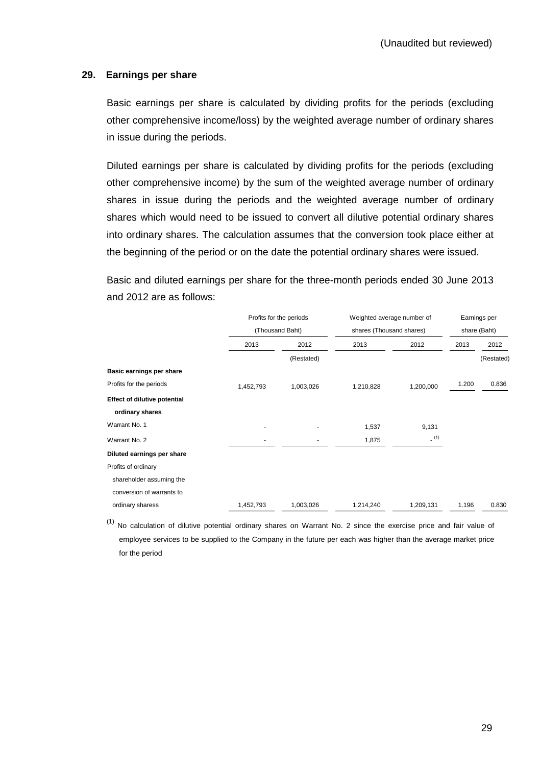### **29. Earnings per share**

 Basic earnings per share is calculated by dividing profits for the periods (excluding other comprehensive income/loss) by the weighted average number of ordinary shares in issue during the periods.

 Diluted earnings per share is calculated by dividing profits for the periods (excluding other comprehensive income) by the sum of the weighted average number of ordinary shares in issue during the periods and the weighted average number of ordinary shares which would need to be issued to convert all dilutive potential ordinary shares into ordinary shares. The calculation assumes that the conversion took place either at the beginning of the period or on the date the potential ordinary shares were issued.

Basic and diluted earnings per share for the three-month periods ended 30 June 2013 and 2012 are as follows:

|                              |           | Profits for the periods<br>(Thousand Baht) |           | Weighted average number of<br>shares (Thousand shares) |       | Earnings per<br>share (Baht) |  |
|------------------------------|-----------|--------------------------------------------|-----------|--------------------------------------------------------|-------|------------------------------|--|
|                              |           |                                            |           |                                                        |       |                              |  |
|                              | 2013      | 2012                                       | 2013      | 2012                                                   | 2013  | 2012                         |  |
|                              |           | (Restated)                                 |           |                                                        |       | (Restated)                   |  |
| Basic earnings per share     |           |                                            |           |                                                        |       |                              |  |
| Profits for the periods      | 1,452,793 | 1,003,026                                  | 1,210,828 | 1,200,000                                              | 1.200 | 0.836                        |  |
| Effect of dilutive potential |           |                                            |           |                                                        |       |                              |  |
| ordinary shares              |           |                                            |           |                                                        |       |                              |  |
| Warrant No. 1                |           |                                            | 1,537     | 9,131                                                  |       |                              |  |
| Warrant No. 2                |           |                                            | 1,875     | (1)                                                    |       |                              |  |
| Diluted earnings per share   |           |                                            |           |                                                        |       |                              |  |
| Profits of ordinary          |           |                                            |           |                                                        |       |                              |  |
| shareholder assuming the     |           |                                            |           |                                                        |       |                              |  |
| conversion of warrants to    |           |                                            |           |                                                        |       |                              |  |
| ordinary sharess             | 1,452,793 | 1,003,026                                  | 1,214,240 | 1,209,131                                              | 1.196 | 0.830                        |  |

 $(1)$  No calculation of dilutive potential ordinary shares on Warrant No. 2 since the exercise price and fair value of employee services to be supplied to the Company in the future per each was higher than the average market price for the period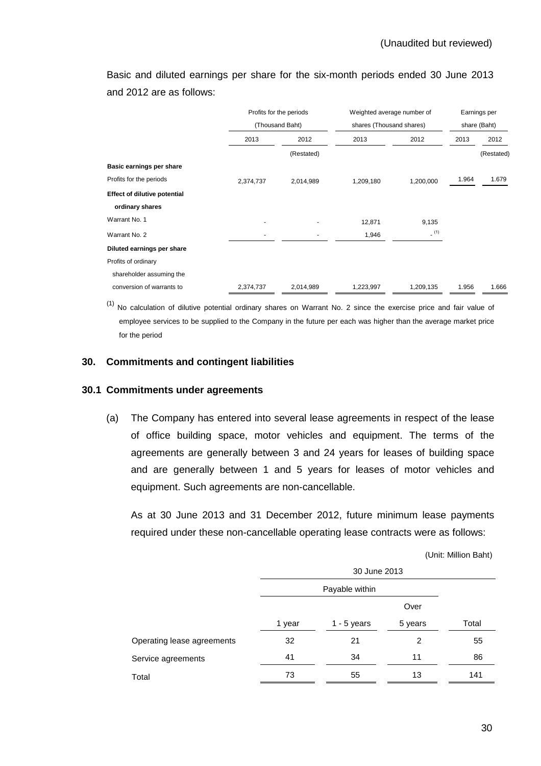Basic and diluted earnings per share for the six-month periods ended 30 June 2013 and 2012 are as follows:

|                                     |           | Profits for the periods |                          | Weighted average number of |              | Earnings per |  |
|-------------------------------------|-----------|-------------------------|--------------------------|----------------------------|--------------|--------------|--|
|                                     |           | (Thousand Baht)         | shares (Thousand shares) |                            | share (Baht) |              |  |
|                                     | 2013      | 2012                    | 2013                     | 2012                       | 2013         | 2012         |  |
|                                     |           | (Restated)              |                          |                            |              | (Restated)   |  |
| Basic earnings per share            |           |                         |                          |                            |              |              |  |
| Profits for the periods             | 2,374,737 | 2,014,989               | 1,209,180                | 1,200,000                  | 1.964        | 1.679        |  |
| <b>Effect of dilutive potential</b> |           |                         |                          |                            |              |              |  |
| ordinary shares                     |           |                         |                          |                            |              |              |  |
| Warrant No. 1                       |           |                         | 12,871                   | 9,135                      |              |              |  |
| Warrant No. 2                       |           |                         | 1,946                    | (1)                        |              |              |  |
| Diluted earnings per share          |           |                         |                          |                            |              |              |  |
| Profits of ordinary                 |           |                         |                          |                            |              |              |  |
| shareholder assuming the            |           |                         |                          |                            |              |              |  |
| conversion of warrants to           | 2,374,737 | 2,014,989               | 1,223,997                | 1,209,135                  | 1.956        | 1.666        |  |

 $(1)$  No calculation of dilutive potential ordinary shares on Warrant No. 2 since the exercise price and fair value of employee services to be supplied to the Company in the future per each was higher than the average market price for the period

### **30. Commitments and contingent liabilities**

#### **30.1 Commitments under agreements**

(a) The Company has entered into several lease agreements in respect of the lease of office building space, motor vehicles and equipment. The terms of the agreements are generally between 3 and 24 years for leases of building space and are generally between 1 and 5 years for leases of motor vehicles and equipment. Such agreements are non-cancellable.

 As at 30 June 2013 and 31 December 2012, future minimum lease payments required under these non-cancellable operating lease contracts were as follows:

(Unit: Million Baht)

|                            | 30 June 2013 |                |         |       |
|----------------------------|--------------|----------------|---------|-------|
|                            |              | Payable within |         |       |
|                            |              |                | Over    |       |
|                            | 1 year       | $1 - 5$ years  | 5 years | Total |
| Operating lease agreements | 32           | 21             | 2       | 55    |
| Service agreements         | 41           | 34             | 11      | 86    |
| Total                      | 73           | 55             | 13      | 141   |